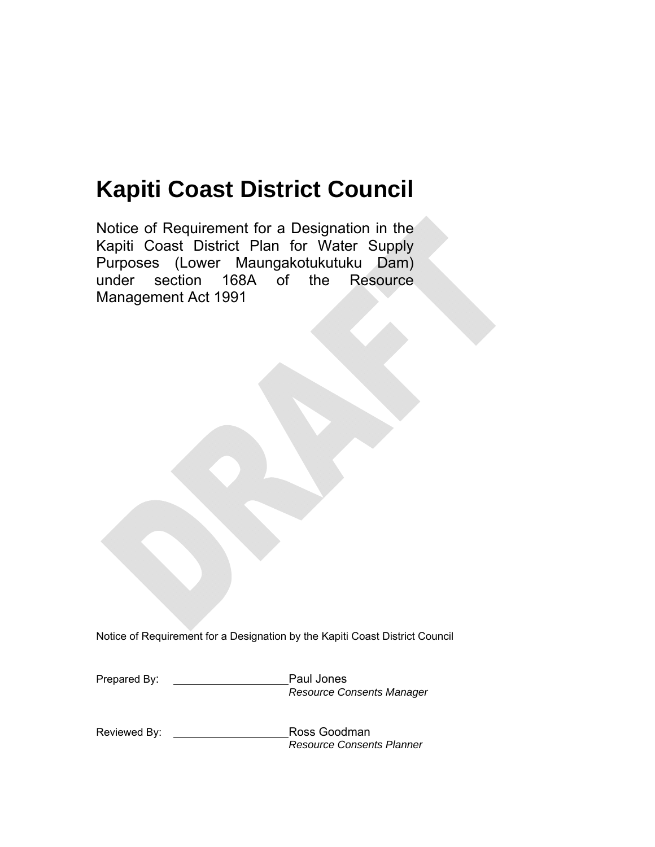# **Kapiti Coast District Council**

Notice of Requirement for a Designation in the Kapiti Coast District Plan for Water Supply Purposes (Lower Maungakotukutuku Dam) under section 168A of the Resource Management Act 1991

Notice of Requirement for a Designation by the Kapiti Coast District Council

| Prepared By: | Paul Jones                       |
|--------------|----------------------------------|
|              | <b>Resource Consents Manager</b> |

Reviewed By: **Now Assess** Goodman *Resource Consents Planner*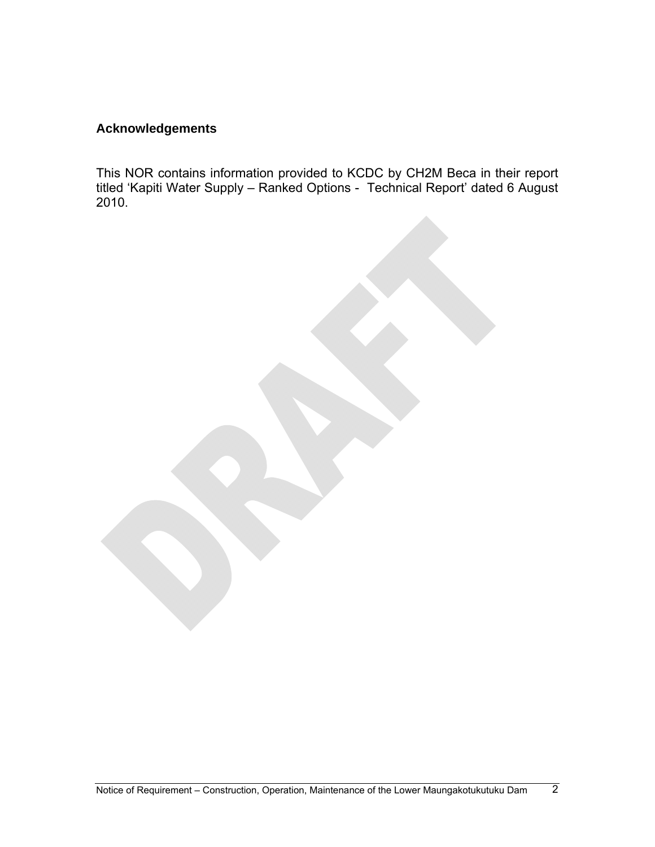# **Acknowledgements**

This NOR contains information provided to KCDC by CH2M Beca in their report titled 'Kapiti Water Supply – Ranked Options - Technical Report' dated 6 August 2010.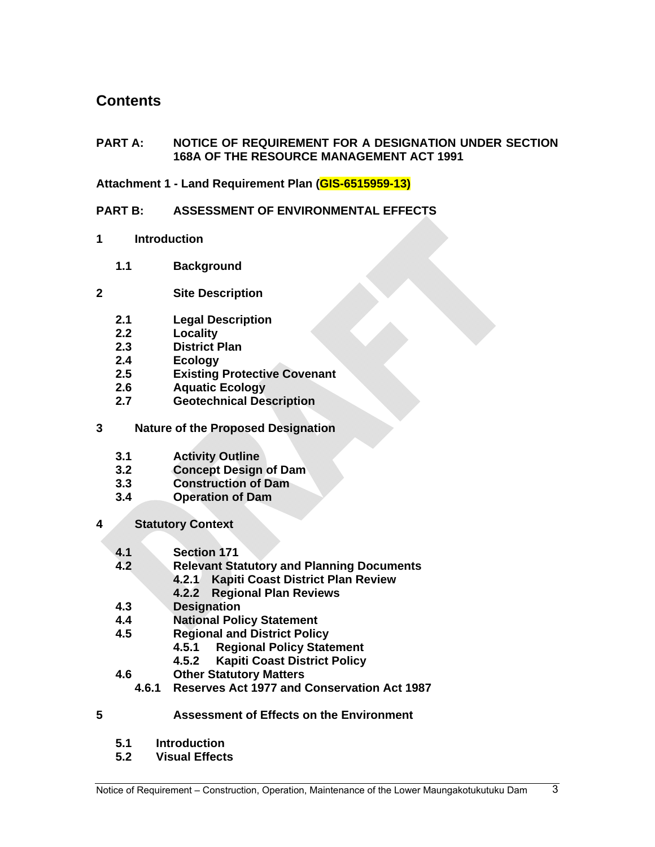# **Contents**

# **PART A: NOTICE OF REQUIREMENT FOR A DESIGNATION UNDER SECTION 168A OF THE RESOURCE MANAGEMENT ACT 1991**

# **Attachment 1 - Land Requirement Plan (GIS-6515959-13)**

# **PART B: ASSESSMENT OF ENVIRONMENTAL EFFECTS**

- **1 Introduction** 
	- **1.1 Background**
- **2 Site Description** 
	- **2.1 Legal Description**
	- **2.2 Locality**
	- **2.3 District Plan**
	- **2.4 Ecology**
	- **2.5 Existing Protective Covenant**
	- **2.6 Aquatic Ecology**
	- **2.7 Geotechnical Description**
- **3 Nature of the Proposed Designation** 
	- **3.1 Activity Outline**
	- **3.2 Concept Design of Dam**
	- **3.3 Construction of Dam**
	- **3.4 Operation of Dam**
- **4 Statutory Context** 
	- **4.1 Section 171**
	- **4.2 Relevant Statutory and Planning Documents**
		- **4.2.1 Kapiti Coast District Plan Review**
			- **4.2.2 Regional Plan Reviews**
	- **4.3 Designation**
	- **4.4 National Policy Statement**
	- **4.5 Regional and District Policy** 
		- **4.5.1 Regional Policy Statement**
		- **4.5.2 Kapiti Coast District Policy**
	- **4.6 Other Statutory Matters** 
		- **4.6.1 Reserves Act 1977 and Conservation Act 1987**
- **5 Assessment of Effects on the Environment** 
	- **5.1 Introduction**
	- **5.2 Visual Effects**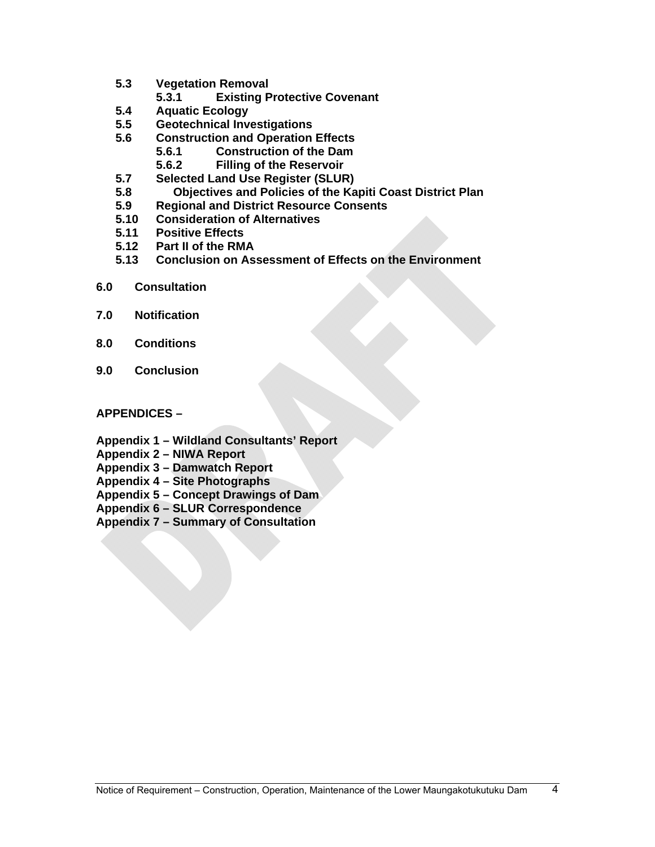- **5.3 Vegetation Removal** 
	- **5.3.1 Existing Protective Covenant**
- **5.4 Aquatic Ecology**
- **5.5 Geotechnical Investigations**
- **5.6 Construction and Operation Effects** 
	- **5.6.1 Construction of the Dam** 
		- **5.6.2 Filling of the Reservoir**
- **5.7 Selected Land Use Register (SLUR)**
- **5.8 Objectives and Policies of the Kapiti Coast District Plan**
- **5.9 Regional and District Resource Consents**
- **5.10 Consideration of Alternatives**
- **5.11 Positive Effects**
- **5.12 Part II of the RMA**
- **5.13 Conclusion on Assessment of Effects on the Environment**
- **6.0 Consultation**
- **7.0 Notification**
- **8.0 Conditions**
- **9.0 Conclusion**

# **APPENDICES –**

- **Appendix 1 Wildland Consultants' Report**
- **Appendix 2 NIWA Report**
- **Appendix 3 Damwatch Report**
- **Appendix 4 Site Photographs**
- **Appendix 5 Concept Drawings of Dam**
- **Appendix 6 SLUR Correspondence**
- **Appendix 7 Summary of Consultation**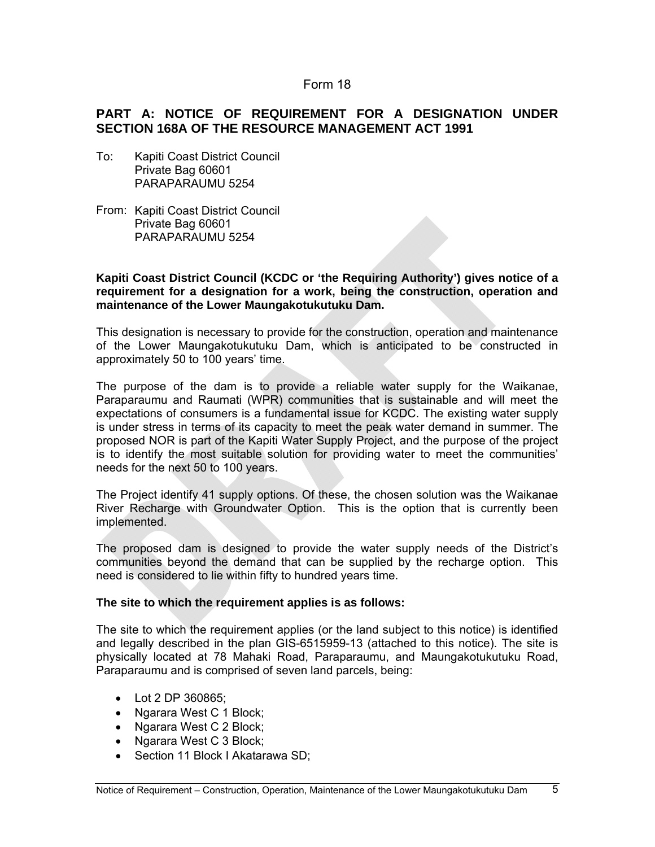#### Form 18

# **PART A: NOTICE OF REQUIREMENT FOR A DESIGNATION UNDER SECTION 168A OF THE RESOURCE MANAGEMENT ACT 1991**

- To: Kapiti Coast District Council Private Bag 60601 PARAPARAUMU 5254
- From: Kapiti Coast District Council Private Bag 60601 PARAPARAUMU 5254

#### **Kapiti Coast District Council (KCDC or 'the Requiring Authority') gives notice of a requirement for a designation for a work, being the construction, operation and maintenance of the Lower Maungakotukutuku Dam.**

This designation is necessary to provide for the construction, operation and maintenance of the Lower Maungakotukutuku Dam, which is anticipated to be constructed in approximately 50 to 100 years' time.

The purpose of the dam is to provide a reliable water supply for the Waikanae, Paraparaumu and Raumati (WPR) communities that is sustainable and will meet the expectations of consumers is a fundamental issue for KCDC. The existing water supply is under stress in terms of its capacity to meet the peak water demand in summer. The proposed NOR is part of the Kapiti Water Supply Project, and the purpose of the project is to identify the most suitable solution for providing water to meet the communities' needs for the next 50 to 100 years.

The Project identify 41 supply options. Of these, the chosen solution was the Waikanae River Recharge with Groundwater Option. This is the option that is currently been implemented.

The proposed dam is designed to provide the water supply needs of the District's communities beyond the demand that can be supplied by the recharge option. This need is considered to lie within fifty to hundred years time.

#### **The site to which the requirement applies is as follows:**

The site to which the requirement applies (or the land subject to this notice) is identified and legally described in the plan GIS-6515959-13 (attached to this notice). The site is physically located at 78 Mahaki Road, Paraparaumu, and Maungakotukutuku Road, Paraparaumu and is comprised of seven land parcels, being:

- Lot 2 DP 360865;
- Ngarara West C 1 Block;
- Ngarara West C 2 Block;
- Ngarara West C 3 Block;
- Section 11 Block I Akatarawa SD;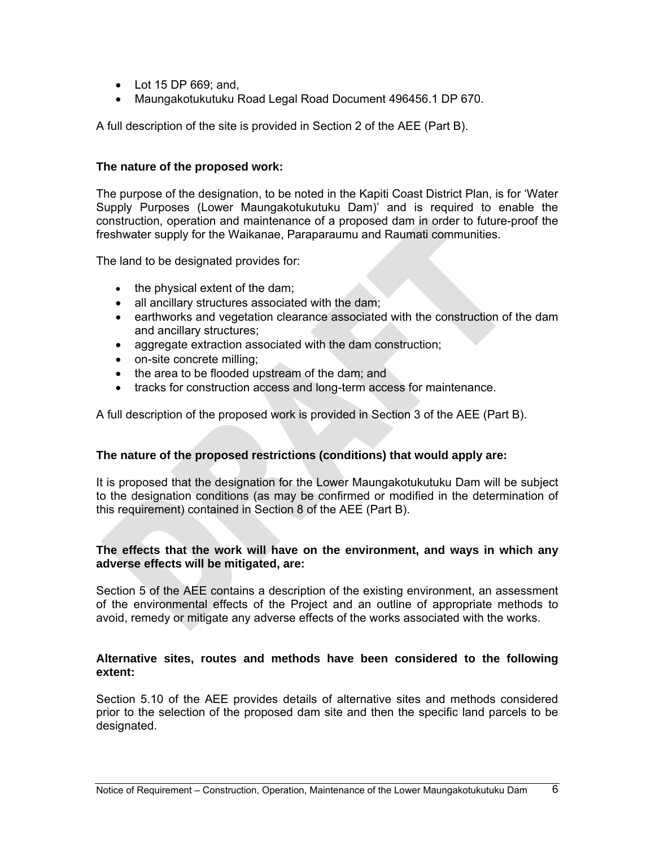- Lot 15 DP 669; and,
- Maungakotukutuku Road Legal Road Document 496456.1 DP 670.

A full description of the site is provided in Section 2 of the AEE (Part B).

#### **The nature of the proposed work:**

The purpose of the designation, to be noted in the Kapiti Coast District Plan, is for 'Water Supply Purposes (Lower Maungakotukutuku Dam)' and is required to enable the construction, operation and maintenance of a proposed dam in order to future-proof the freshwater supply for the Waikanae, Paraparaumu and Raumati communities.

The land to be designated provides for:

- $\bullet$  the physical extent of the dam;
- all ancillary structures associated with the dam;
- earthworks and vegetation clearance associated with the construction of the dam and ancillary structures;
- aggregate extraction associated with the dam construction;
- on-site concrete milling;
- the area to be flooded upstream of the dam; and
- tracks for construction access and long-term access for maintenance.

A full description of the proposed work is provided in Section 3 of the AEE (Part B).

# **The nature of the proposed restrictions (conditions) that would apply are:**

It is proposed that the designation for the Lower Maungakotukutuku Dam will be subject to the designation conditions (as may be confirmed or modified in the determination of this requirement) contained in Section 8 of the AEE (Part B).

# **The effects that the work will have on the environment, and ways in which any adverse effects will be mitigated, are:**

Section 5 of the AEE contains a description of the existing environment, an assessment of the environmental effects of the Project and an outline of appropriate methods to avoid, remedy or mitigate any adverse effects of the works associated with the works.

#### **Alternative sites, routes and methods have been considered to the following extent:**

Section 5.10 of the AEE provides details of alternative sites and methods considered prior to the selection of the proposed dam site and then the specific land parcels to be designated.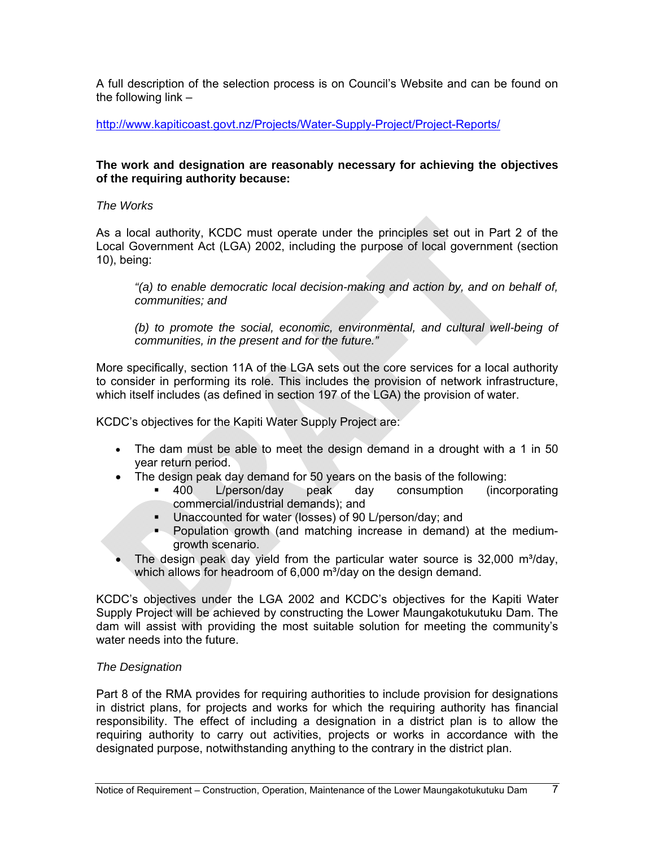A full description of the selection process is on Council's Website and can be found on the following link –

<http://www.kapiticoast.govt.nz/Projects/Water-Supply-Project/Project-Reports/>

#### **The work and designation are reasonably necessary for achieving the objectives of the requiring authority because:**

# *The Works*

As a local authority, KCDC must operate under the principles set out in Part 2 of the Local Government Act (LGA) 2002, including the purpose of local government (section 10), being:

*"(a) to enable democratic local decision-making and action by, and on behalf of, communities; and* 

*(b) to promote the social, economic, environmental, and cultural well-being of communities, in the present and for the future."* 

More specifically, section 11A of the LGA sets out the core services for a local authority to consider in performing its role. This includes the provision of network infrastructure, which itself includes (as defined in section 197 of the LGA) the provision of water.

KCDC's objectives for the Kapiti Water Supply Project are:

- The dam must be able to meet the design demand in a drought with a 1 in 50 year return period.
- The design peak day demand for 50 years on the basis of the following:
	- 400 L/person/day peak day consumption (incorporating commercial/industrial demands); and
	- Unaccounted for water (losses) of 90 L/person/day; and
	- **Population growth (and matching increase in demand) at the medium**growth scenario.
- The design peak day yield from the particular water source is 32,000 m<sup>3</sup>/day, which allows for headroom of 6,000 m<sup>3</sup>/day on the design demand.

KCDC's objectives under the LGA 2002 and KCDC's objectives for the Kapiti Water Supply Project will be achieved by constructing the Lower Maungakotukutuku Dam. The dam will assist with providing the most suitable solution for meeting the community's water needs into the future.

# *The Designation*

Part 8 of the RMA provides for requiring authorities to include provision for designations in district plans, for projects and works for which the requiring authority has financial responsibility. The effect of including a designation in a district plan is to allow the requiring authority to carry out activities, projects or works in accordance with the designated purpose, notwithstanding anything to the contrary in the district plan.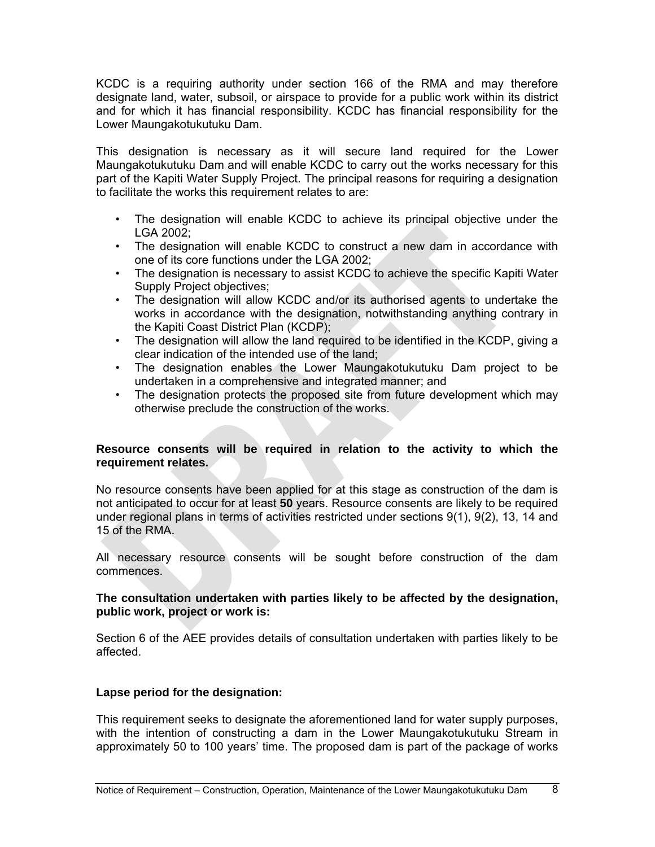KCDC is a requiring authority under section 166 of the RMA and may therefore designate land, water, subsoil, or airspace to provide for a public work within its district and for which it has financial responsibility. KCDC has financial responsibility for the Lower Maungakotukutuku Dam.

This designation is necessary as it will secure land required for the Lower Maungakotukutuku Dam and will enable KCDC to carry out the works necessary for this part of the Kapiti Water Supply Project. The principal reasons for requiring a designation to facilitate the works this requirement relates to are:

- The designation will enable KCDC to achieve its principal objective under the LGA 2002;
- The designation will enable KCDC to construct a new dam in accordance with one of its core functions under the LGA 2002;
- The designation is necessary to assist KCDC to achieve the specific Kapiti Water Supply Project objectives;
- The designation will allow KCDC and/or its authorised agents to undertake the works in accordance with the designation, notwithstanding anything contrary in the Kapiti Coast District Plan (KCDP);
- The designation will allow the land required to be identified in the KCDP, giving a clear indication of the intended use of the land;
- The designation enables the Lower Maungakotukutuku Dam project to be undertaken in a comprehensive and integrated manner; and
- The designation protects the proposed site from future development which may otherwise preclude the construction of the works.

# **Resource consents will be required in relation to the activity to which the requirement relates.**

No resource consents have been applied for at this stage as construction of the dam is not anticipated to occur for at least **50** years. Resource consents are likely to be required under regional plans in terms of activities restricted under sections 9(1), 9(2), 13, 14 and 15 of the RMA.

All necessary resource consents will be sought before construction of the dam commences.

#### **The consultation undertaken with parties likely to be affected by the designation, public work, project or work is:**

Section 6 of the AEE provides details of consultation undertaken with parties likely to be affected.

# **Lapse period for the designation:**

This requirement seeks to designate the aforementioned land for water supply purposes, with the intention of constructing a dam in the Lower Maungakotukutuku Stream in approximately 50 to 100 years' time. The proposed dam is part of the package of works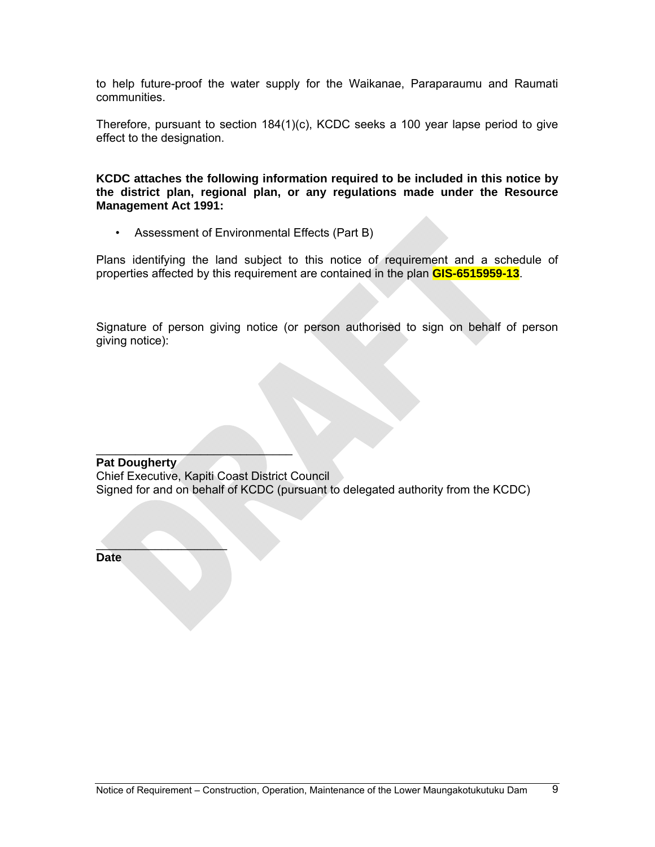to help future-proof the water supply for the Waikanae, Paraparaumu and Raumati communities.

Therefore, pursuant to section 184(1)(c), KCDC seeks a 100 year lapse period to give effect to the designation.

**KCDC attaches the following information required to be included in this notice by the district plan, regional plan, or any regulations made under the Resource Management Act 1991:** 

• Assessment of Environmental Effects (Part B)

Plans identifying the land subject to this notice of requirement and a schedule of properties affected by this requirement are contained in the plan **GIS-6515959-13**.

Signature of person giving notice (or person authorised to sign on behalf of person giving notice):

 $\mathcal{L}=\mathcal{L}=\mathcal{L}=\mathcal{L}=\mathcal{L}=\mathcal{L}=\mathcal{L}=\mathcal{L}=\mathcal{L}=\mathcal{L}=\mathcal{L}=\mathcal{L}=\mathcal{L}=\mathcal{L}=\mathcal{L}=\mathcal{L}=\mathcal{L}=\mathcal{L}=\mathcal{L}=\mathcal{L}=\mathcal{L}=\mathcal{L}=\mathcal{L}=\mathcal{L}=\mathcal{L}=\mathcal{L}=\mathcal{L}=\mathcal{L}=\mathcal{L}=\mathcal{L}=\mathcal{L}=\mathcal{L}=\mathcal{L}=\mathcal{L}=\mathcal{L}=\mathcal{L}=\mathcal{$ **Pat Dougherty**  Chief Executive, Kapiti Coast District Council Signed for and on behalf of KCDC (pursuant to delegated authority from the KCDC)

**Date**

 $\sim$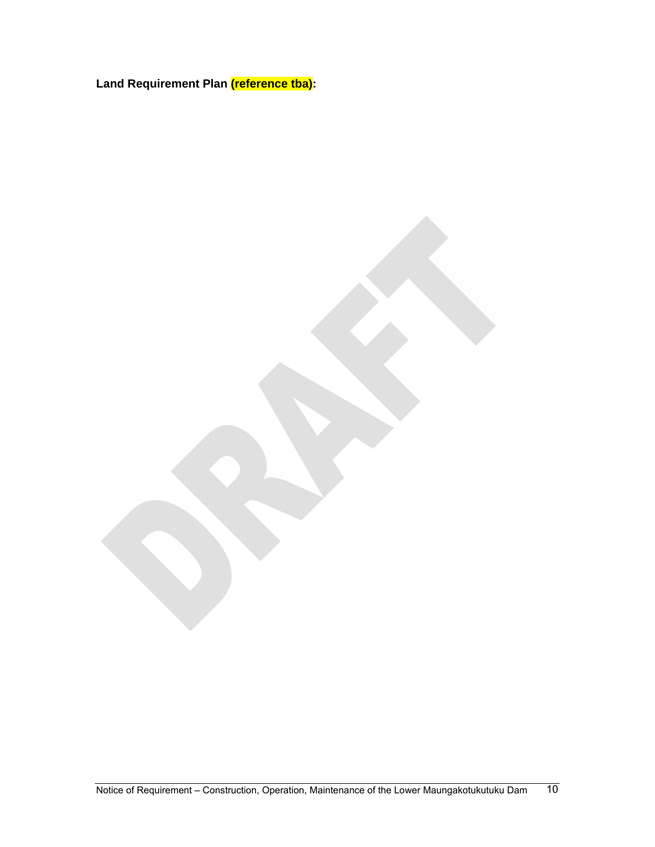**Land Requirement Plan (reference tba):**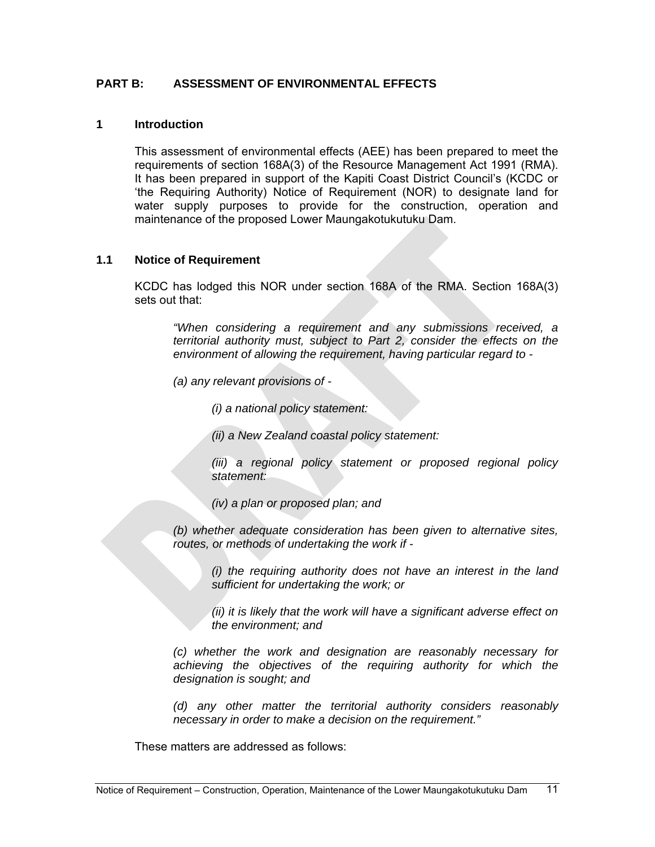# **PART B: ASSESSMENT OF ENVIRONMENTAL EFFECTS**

# **1 Introduction**

This assessment of environmental effects (AEE) has been prepared to meet the requirements of section 168A(3) of the Resource Management Act 1991 (RMA). It has been prepared in support of the Kapiti Coast District Council's (KCDC or 'the Requiring Authority) Notice of Requirement (NOR) to designate land for water supply purposes to provide for the construction, operation and maintenance of the proposed Lower Maungakotukutuku Dam.

#### **1.1 Notice of Requirement**

KCDC has lodged this NOR under section 168A of the RMA. Section 168A(3) sets out that:

*"When considering a requirement and any submissions received, a territorial authority must, subject to Part 2, consider the effects on the environment of allowing the requirement, having particular regard to -* 

*(a) any relevant provisions of -* 

*(i) a national policy statement:* 

*(ii) a New Zealand coastal policy statement:* 

*(iii) a regional policy statement or proposed regional policy statement:* 

*(iv) a plan or proposed plan; and* 

*(b) whether adequate consideration has been given to alternative sites, routes, or methods of undertaking the work if -* 

> *(i) the requiring authority does not have an interest in the land sufficient for undertaking the work; or*

> *(ii) it is likely that the work will have a significant adverse effect on the environment; and*

*(c) whether the work and designation are reasonably necessary for achieving the objectives of the requiring authority for which the designation is sought; and* 

*(d) any other matter the territorial authority considers reasonably necessary in order to make a decision on the requirement."* 

These matters are addressed as follows: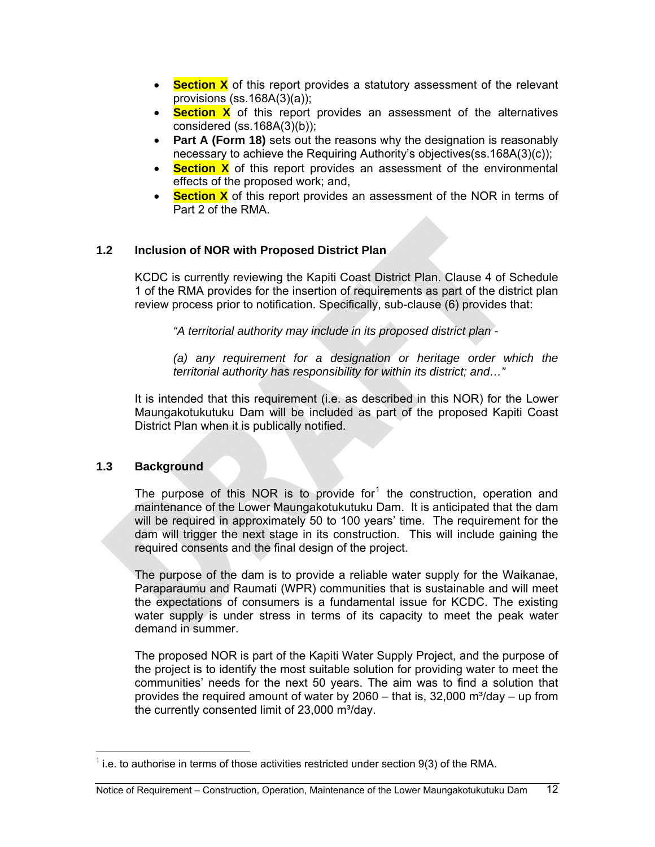- **Section X** of this report provides a statutory assessment of the relevant provisions (ss.168A(3)(a));
- **Section X** of this report provides an assessment of the alternatives considered (ss.168A(3)(b));
- **Part A (Form 18)** sets out the reasons why the designation is reasonably necessary to achieve the Requiring Authority's objectives(ss.168A(3)(c));
- **Section X** of this report provides an assessment of the environmental effects of the proposed work; and,
- **Section X** of this report provides an assessment of the NOR in terms of Part 2 of the RMA

# **1.2 Inclusion of NOR with Proposed District Plan**

KCDC is currently reviewing the Kapiti Coast District Plan. Clause 4 of Schedule 1 of the RMA provides for the insertion of requirements as part of the district plan review process prior to notification. Specifically, sub-clause (6) provides that:

*"A territorial authority may include in its proposed district plan -* 

*(a) any requirement for a designation or heritage order which the territorial authority has responsibility for within its district; and…"* 

It is intended that this requirement (i.e. as described in this NOR) for the Lower Maungakotukutuku Dam will be included as part of the proposed Kapiti Coast District Plan when it is publically notified.

#### **1.3 Background**

 $\overline{a}$ 

The purpose of this NOR is to provide for<sup>[1](#page-11-0)</sup> the construction, operation and maintenance of the Lower Maungakotukutuku Dam. It is anticipated that the dam will be required in approximately 50 to 100 years' time. The requirement for the dam will trigger the next stage in its construction. This will include gaining the required consents and the final design of the project.

The purpose of the dam is to provide a reliable water supply for the Waikanae, Paraparaumu and Raumati (WPR) communities that is sustainable and will meet the expectations of consumers is a fundamental issue for KCDC. The existing water supply is under stress in terms of its capacity to meet the peak water demand in summer.

The proposed NOR is part of the Kapiti Water Supply Project, and the purpose of the project is to identify the most suitable solution for providing water to meet the communities' needs for the next 50 years. The aim was to find a solution that provides the required amount of water by  $2060 -$  that is,  $32,000$  m $3$ /day  $-$  up from the currently consented limit of  $23,000$  m $\frac{3}{day}$ .

<span id="page-11-0"></span> $<sup>1</sup>$  i.e. to authorise in terms of those activities restricted under section 9(3) of the RMA.</sup>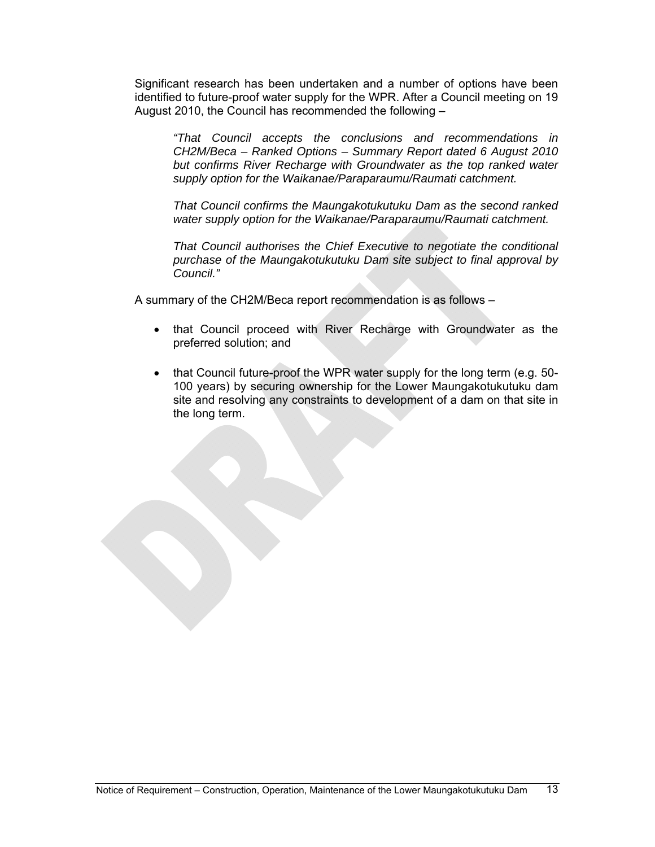Significant research has been undertaken and a number of options have been identified to future-proof water supply for the WPR. After a Council meeting on 19 August 2010, the Council has recommended the following –

*"That Council accepts the conclusions and recommendations in CH2M/Beca – Ranked Options – Summary Report dated 6 August 2010 but confirms River Recharge with Groundwater as the top ranked water supply option for the Waikanae/Paraparaumu/Raumati catchment.* 

*That Council confirms the Maungakotukutuku Dam as the second ranked water supply option for the Waikanae/Paraparaumu/Raumati catchment.* 

*That Council authorises the Chief Executive to negotiate the conditional purchase of the Maungakotukutuku Dam site subject to final approval by Council."* 

A summary of the CH2M/Beca report recommendation is as follows –

- that Council proceed with River Recharge with Groundwater as the preferred solution; and
- that Council future-proof the WPR water supply for the long term (e.g. 50-100 years) by securing ownership for the Lower Maungakotukutuku dam site and resolving any constraints to development of a dam on that site in the long term.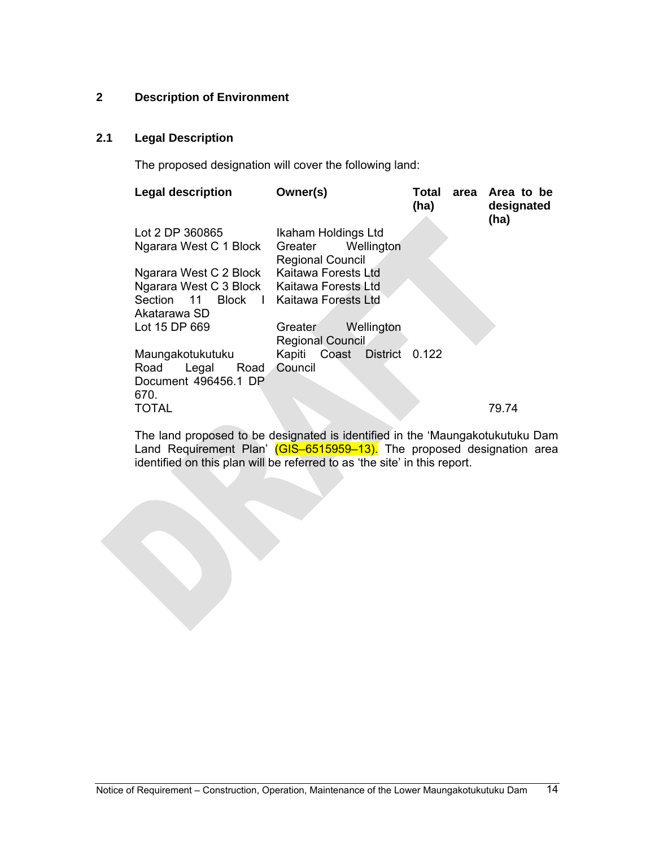# **2 Description of Environment**

# **2.1 Legal Description**

The proposed designation will cover the following land:

| <b>Legal description</b>                      | Owner(s)                                         | Total<br>(ha) | area Area to be<br>designated<br>(ha) |
|-----------------------------------------------|--------------------------------------------------|---------------|---------------------------------------|
| Lot 2 DP 360865                               | Ikaham Holdings Ltd                              |               |                                       |
| Ngarara West C 1 Block                        | Wellington<br>Greater<br><b>Regional Council</b> |               |                                       |
| Ngarara West C 2 Block                        | Kaitawa Forests Ltd                              |               |                                       |
| Ngarara West C 3 Block Kaitawa Forests Ltd    |                                                  |               |                                       |
| Section 11 Block I Kaitawa Forests Ltd        |                                                  |               |                                       |
| Akatarawa SD                                  |                                                  |               |                                       |
| Lot 15 DP 669                                 | Wellington<br>Greater<br><b>Regional Council</b> |               |                                       |
| Maungakotukutuku                              | Kapiti Coast District                            | 0.122         |                                       |
| Legal<br>Road<br>Road<br>Document 496456.1 DP | Council                                          |               |                                       |
| 670.                                          |                                                  |               |                                       |
| <b>TOTAL</b>                                  |                                                  |               | 79.74                                 |

The land proposed to be designated is identified in the 'Maungakotukutuku Dam Land Requirement Plan' (GIS-6515959-13). The proposed designation area identified on this plan will be referred to as 'the site' in this report.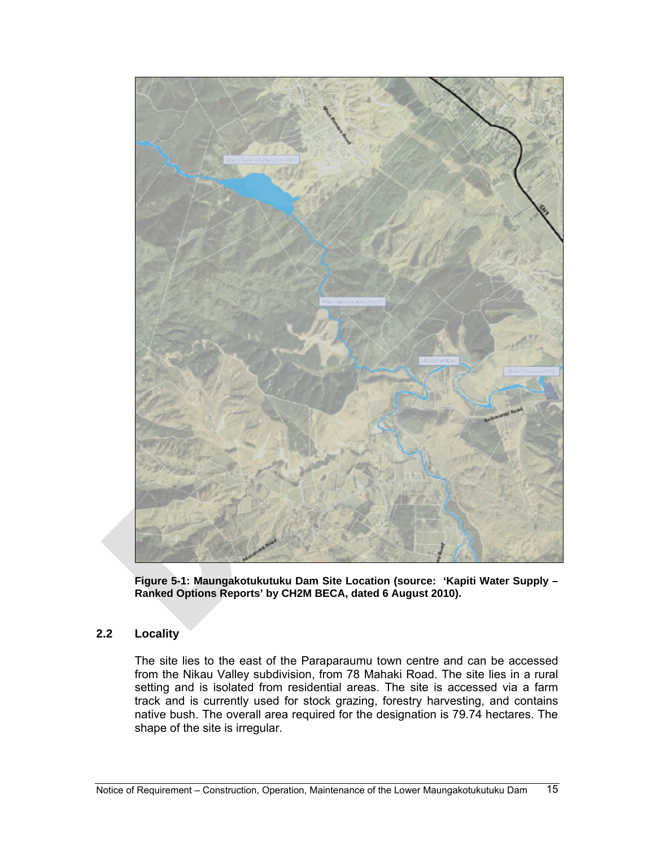

**Figure 5-1: Maungakotukutuku Dam Site Location (source: 'Kapiti Water Supply – Ranked Options Reports' by CH2M BECA, dated 6 August 2010).** 

# **2.2 Locality**

The site lies to the east of the Paraparaumu town centre and can be accessed from the Nikau Valley subdivision, from 78 Mahaki Road. The site lies in a rural setting and is isolated from residential areas. The site is accessed via a farm track and is currently used for stock grazing, forestry harvesting, and contains native bush. The overall area required for the designation is 79.74 hectares. The shape of the site is irregular.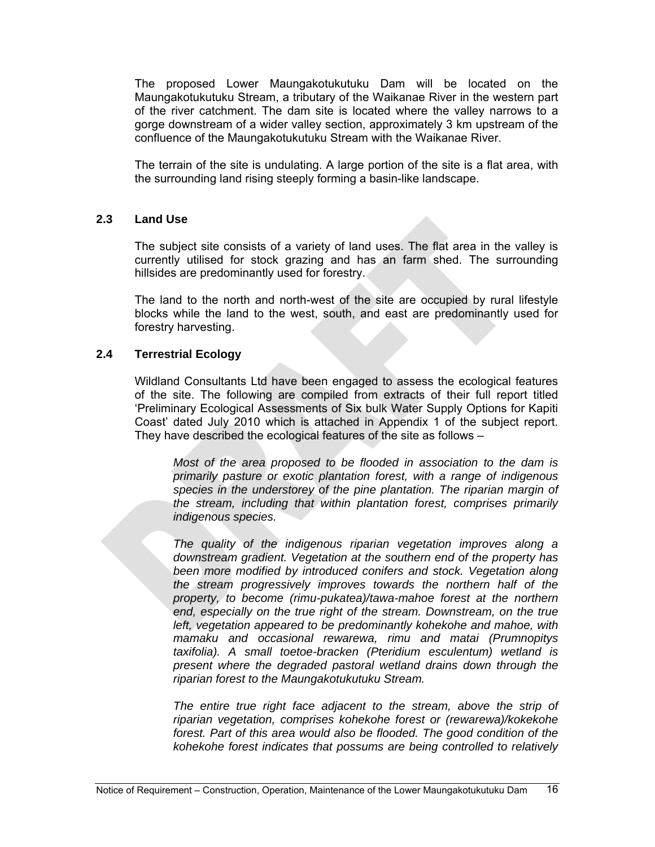The proposed Lower Maungakotukutuku Dam will be located on the Maungakotukutuku Stream, a tributary of the Waikanae River in the western part of the river catchment. The dam site is located where the valley narrows to a gorge downstream of a wider valley section, approximately 3 km upstream of the confluence of the Maungakotukutuku Stream with the Waikanae River.

The terrain of the site is undulating. A large portion of the site is a flat area, with the surrounding land rising steeply forming a basin-like landscape.

#### **2.3 Land Use**

The subject site consists of a variety of land uses. The flat area in the valley is currently utilised for stock grazing and has an farm shed. The surrounding hillsides are predominantly used for forestry.

The land to the north and north-west of the site are occupied by rural lifestyle blocks while the land to the west, south, and east are predominantly used for forestry harvesting.

# **2.4 Terrestrial Ecology**

Wildland Consultants Ltd have been engaged to assess the ecological features of the site. The following are compiled from extracts of their full report titled 'Preliminary Ecological Assessments of Six bulk Water Supply Options for Kapiti Coast' dated July 2010 which is attached in Appendix 1 of the subject report. They have described the ecological features of the site as follows –

*Most of the area proposed to be flooded in association to the dam is primarily pasture or exotic plantation forest, with a range of indigenous species in the understorey of the pine plantation. The riparian margin of the stream, including that within plantation forest, comprises primarily indigenous species.* 

*The quality of the indigenous riparian vegetation improves along a downstream gradient. Vegetation at the southern end of the property has been more modified by introduced conifers and stock. Vegetation along the stream progressively improves towards the northern half of the property, to become (rimu-pukatea)/tawa-mahoe forest at the northern*  end, especially on the true right of the stream. Downstream, on the true *left, vegetation appeared to be predominantly kohekohe and mahoe, with mamaku and occasional rewarewa, rimu and matai (Prumnopitys taxifolia). A small toetoe-bracken (Pteridium esculentum) wetland is present where the degraded pastoral wetland drains down through the riparian forest to the Maungakotukutuku Stream.* 

*The entire true right face adjacent to the stream, above the strip of riparian vegetation, comprises kohekohe forest or (rewarewa)/kokekohe forest. Part of this area would also be flooded. The good condition of the kohekohe forest indicates that possums are being controlled to relatively*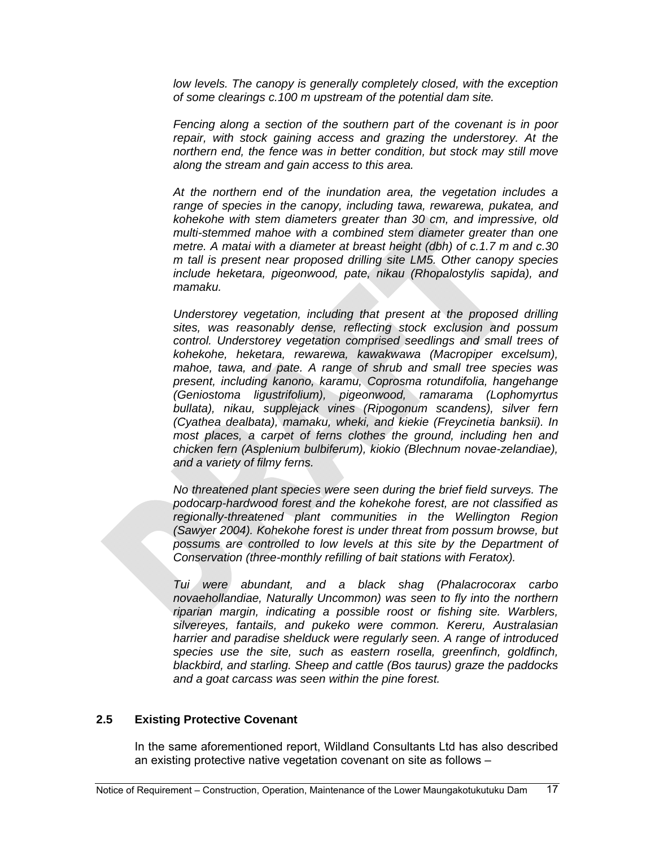*low levels. The canopy is generally completely closed, with the exception of some clearings c.100 m upstream of the potential dam site.* 

*Fencing along a section of the southern part of the covenant is in poor repair, with stock gaining access and grazing the understorey. At the northern end, the fence was in better condition, but stock may still move along the stream and gain access to this area.* 

*At the northern end of the inundation area, the vegetation includes a range of species in the canopy, including tawa, rewarewa, pukatea, and kohekohe with stem diameters greater than 30 cm, and impressive, old multi-stemmed mahoe with a combined stem diameter greater than one metre. A matai with a diameter at breast height (dbh) of c.1.7 m and c.30 m tall is present near proposed drilling site LM5. Other canopy species include heketara, pigeonwood, pate, nikau (Rhopalostylis sapida), and mamaku.* 

*Understorey vegetation, including that present at the proposed drilling sites, was reasonably dense, reflecting stock exclusion and possum control. Understorey vegetation comprised seedlings and small trees of kohekohe, heketara, rewarewa, kawakwawa (Macropiper excelsum), mahoe, tawa, and pate. A range of shrub and small tree species was present, including kanono, karamu, Coprosma rotundifolia, hangehange (Geniostoma ligustrifolium), pigeonwood, ramarama (Lophomyrtus bullata), nikau, supplejack vines (Ripogonum scandens), silver fern (Cyathea dealbata), mamaku, wheki, and kiekie (Freycinetia banksii). In most places, a carpet of ferns clothes the ground, including hen and chicken fern (Asplenium bulbiferum), kiokio (Blechnum novae-zelandiae), and a variety of filmy ferns.* 

*No threatened plant species were seen during the brief field surveys. The podocarp-hardwood forest and the kohekohe forest, are not classified as regionally-threatened plant communities in the Wellington Region (Sawyer 2004). Kohekohe forest is under threat from possum browse, but possums are controlled to low levels at this site by the Department of Conservation (three-monthly refilling of bait stations with Feratox).* 

*Tui were abundant, and a black shag (Phalacrocorax carbo novaehollandiae, Naturally Uncommon) was seen to fly into the northern riparian margin, indicating a possible roost or fishing site. Warblers, silvereyes, fantails, and pukeko were common. Kereru, Australasian harrier and paradise shelduck were regularly seen. A range of introduced species use the site, such as eastern rosella, greenfinch, goldfinch, blackbird, and starling. Sheep and cattle (Bos taurus) graze the paddocks and a goat carcass was seen within the pine forest.*

# **2.5 Existing Protective Covenant**

In the same aforementioned report, Wildland Consultants Ltd has also described an existing protective native vegetation covenant on site as follows –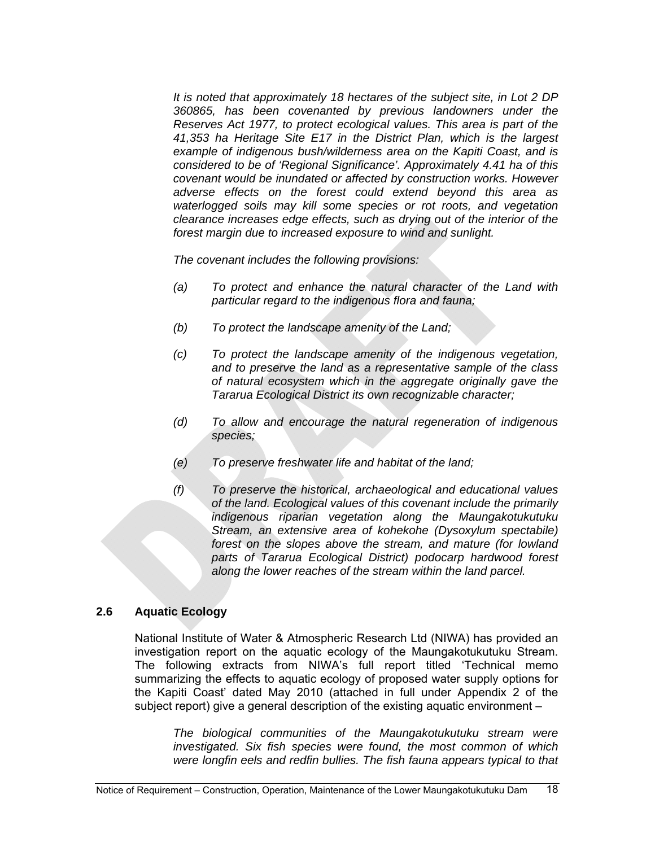*It is noted that approximately 18 hectares of the subject site, in Lot 2 DP 360865, has been covenanted by previous landowners under the Reserves Act 1977, to protect ecological values. This area is part of the 41,353 ha Heritage Site E17 in the District Plan, which is the largest example of indigenous bush/wilderness area on the Kapiti Coast, and is considered to be of 'Regional Significance'. Approximately 4.41 ha of this covenant would be inundated or affected by construction works. However adverse effects on the forest could extend beyond this area as waterlogged soils may kill some species or rot roots, and vegetation clearance increases edge effects, such as drying out of the interior of the forest margin due to increased exposure to wind and sunlight.* 

*The covenant includes the following provisions:* 

- *(a) To protect and enhance the natural character of the Land with particular regard to the indigenous flora and fauna;*
- *(b) To protect the landscape amenity of the Land;*
- *(c) To protect the landscape amenity of the indigenous vegetation, and to preserve the land as a representative sample of the class of natural ecosystem which in the aggregate originally gave the Tararua Ecological District its own recognizable character;*
- *(d) To allow and encourage the natural regeneration of indigenous species;*
- *(e) To preserve freshwater life and habitat of the land;*
- *(f) To preserve the historical, archaeological and educational values of the land. Ecological values of this covenant include the primarily indigenous riparian vegetation along the Maungakotukutuku Stream, an extensive area of kohekohe (Dysoxylum spectabile) forest on the slopes above the stream, and mature (for lowland parts of Tararua Ecological District) podocarp hardwood forest along the lower reaches of the stream within the land parcel.*

# **2.6 Aquatic Ecology**

National Institute of Water & Atmospheric Research Ltd (NIWA) has provided an investigation report on the aquatic ecology of the Maungakotukutuku Stream. The following extracts from NIWA's full report titled 'Technical memo summarizing the effects to aquatic ecology of proposed water supply options for the Kapiti Coast' dated May 2010 (attached in full under Appendix 2 of the subject report) give a general description of the existing aquatic environment –

*The biological communities of the Maungakotukutuku stream were investigated. Six fish species were found, the most common of which were longfin eels and redfin bullies. The fish fauna appears typical to that*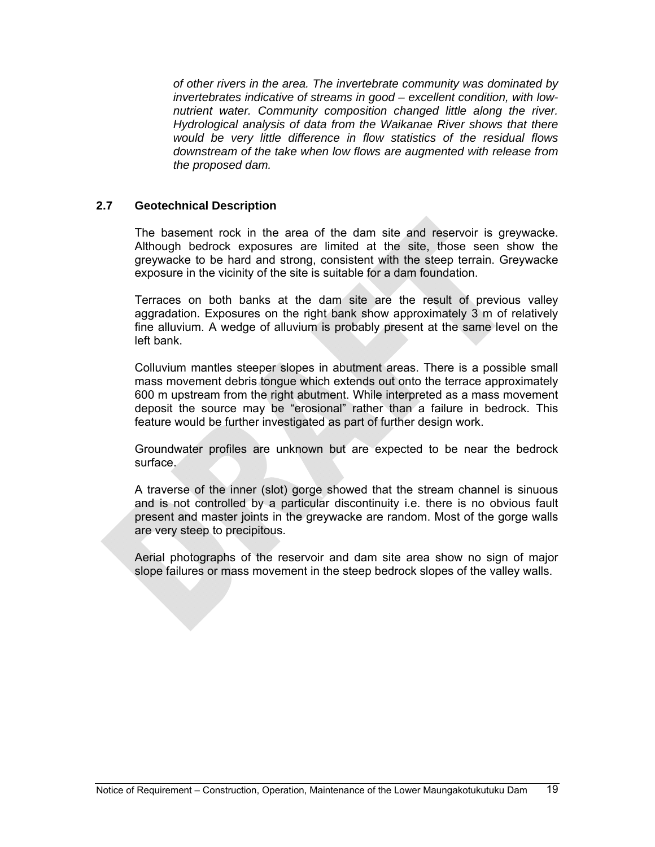*of other rivers in the area. The invertebrate community was dominated by invertebrates indicative of streams in good – excellent condition, with lownutrient water. Community composition changed little along the river. Hydrological analysis of data from the Waikanae River shows that there would be very little difference in flow statistics of the residual flows downstream of the take when low flows are augmented with release from the proposed dam.* 

#### **2.7 Geotechnical Description**

The basement rock in the area of the dam site and reservoir is greywacke. Although bedrock exposures are limited at the site, those seen show the greywacke to be hard and strong, consistent with the steep terrain. Greywacke exposure in the vicinity of the site is suitable for a dam foundation.

Terraces on both banks at the dam site are the result of previous valley aggradation. Exposures on the right bank show approximately 3 m of relatively fine alluvium. A wedge of alluvium is probably present at the same level on the left bank.

Colluvium mantles steeper slopes in abutment areas. There is a possible small mass movement debris tongue which extends out onto the terrace approximately 600 m upstream from the right abutment. While interpreted as a mass movement deposit the source may be "erosional" rather than a failure in bedrock. This feature would be further investigated as part of further design work.

Groundwater profiles are unknown but are expected to be near the bedrock surface.

A traverse of the inner (slot) gorge showed that the stream channel is sinuous and is not controlled by a particular discontinuity i.e. there is no obvious fault present and master joints in the greywacke are random. Most of the gorge walls are very steep to precipitous.

Aerial photographs of the reservoir and dam site area show no sign of major slope failures or mass movement in the steep bedrock slopes of the valley walls.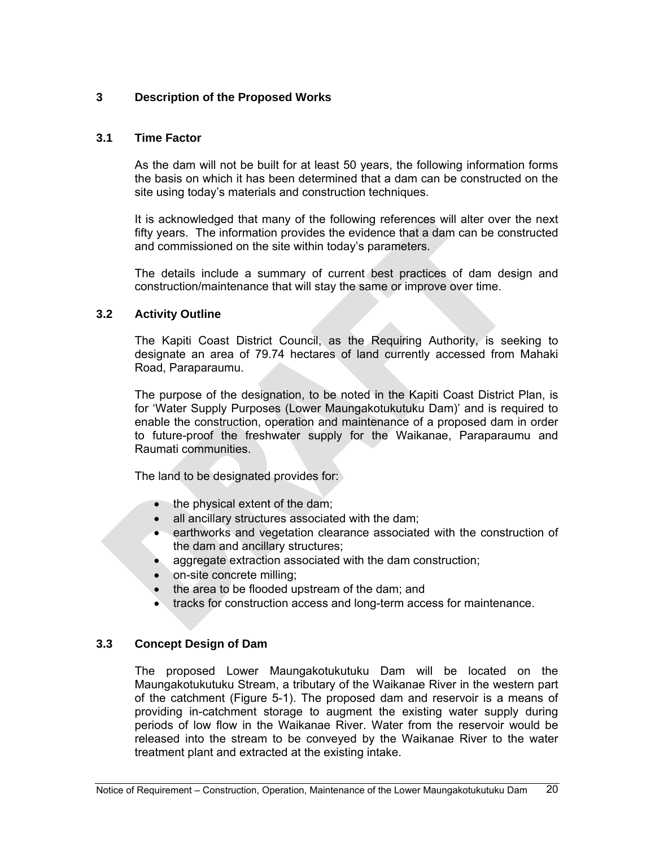# **3 Description of the Proposed Works**

# **3.1 Time Factor**

As the dam will not be built for at least 50 years, the following information forms the basis on which it has been determined that a dam can be constructed on the site using today's materials and construction techniques.

It is acknowledged that many of the following references will alter over the next fifty years. The information provides the evidence that a dam can be constructed and commissioned on the site within today's parameters.

The details include a summary of current best practices of dam design and construction/maintenance that will stay the same or improve over time.

#### **3.2 Activity Outline**

The Kapiti Coast District Council, as the Requiring Authority, is seeking to designate an area of 79.74 hectares of land currently accessed from Mahaki Road, Paraparaumu.

The purpose of the designation, to be noted in the Kapiti Coast District Plan, is for 'Water Supply Purposes (Lower Maungakotukutuku Dam)' and is required to enable the construction, operation and maintenance of a proposed dam in order to future-proof the freshwater supply for the Waikanae, Paraparaumu and Raumati communities.

The land to be designated provides for:

- the physical extent of the dam;
- all ancillary structures associated with the dam;
- earthworks and vegetation clearance associated with the construction of the dam and ancillary structures;
- aggregate extraction associated with the dam construction;
- on-site concrete milling;
- the area to be flooded upstream of the dam; and
- tracks for construction access and long-term access for maintenance.

# **3.3 Concept Design of Dam**

The proposed Lower Maungakotukutuku Dam will be located on the Maungakotukutuku Stream, a tributary of the Waikanae River in the western part of the catchment (Figure 5-1). The proposed dam and reservoir is a means of providing in-catchment storage to augment the existing water supply during periods of low flow in the Waikanae River. Water from the reservoir would be released into the stream to be conveyed by the Waikanae River to the water treatment plant and extracted at the existing intake.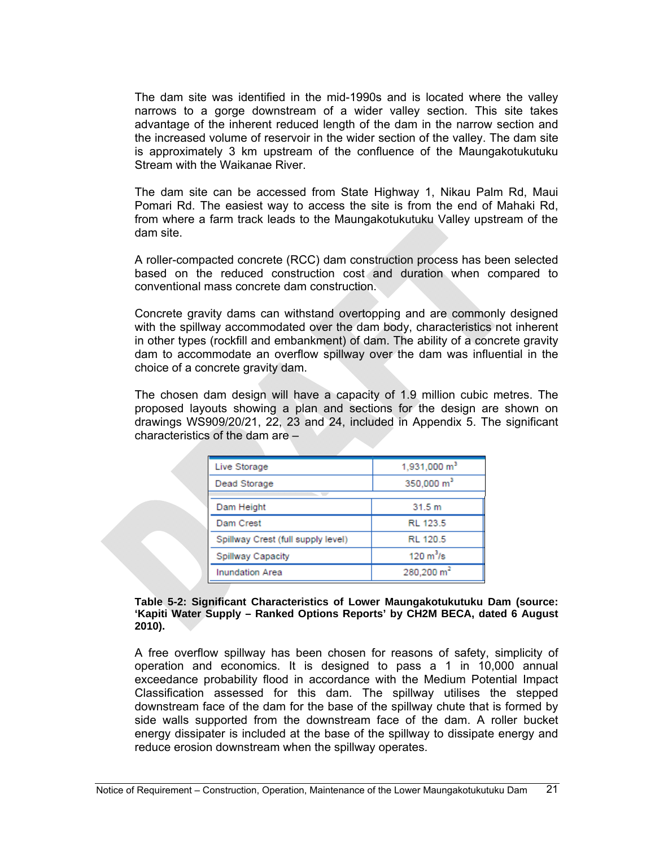The dam site was identified in the mid-1990s and is located where the valley narrows to a gorge downstream of a wider valley section. This site takes advantage of the inherent reduced length of the dam in the narrow section and the increased volume of reservoir in the wider section of the valley. The dam site is approximately 3 km upstream of the confluence of the Maungakotukutuku Stream with the Waikanae River.

The dam site can be accessed from State Highway 1, Nikau Palm Rd, Maui Pomari Rd. The easiest way to access the site is from the end of Mahaki Rd, from where a farm track leads to the Maungakotukutuku Valley upstream of the dam site.

A roller-compacted concrete (RCC) dam construction process has been selected based on the reduced construction cost and duration when compared to conventional mass concrete dam construction.

Concrete gravity dams can withstand overtopping and are commonly designed with the spillway accommodated over the dam body, characteristics not inherent in other types (rockfill and embankment) of dam. The ability of a concrete gravity dam to accommodate an overflow spillway over the dam was influential in the choice of a concrete gravity dam.

The chosen dam design will have a capacity of 1.9 million cubic metres. The proposed layouts showing a plan and sections for the design are shown on drawings WS909/20/21, 22, 23 and 24, included in Appendix 5. The significant characteristics of the dam are –

| 1,931,000 m <sup>3</sup>   |
|----------------------------|
| 350,000 m <sup>3</sup>     |
|                            |
| 31.5 m                     |
| RL 123.5                   |
| RL 120.5                   |
| $120 \text{ m}^3\text{/s}$ |
| 280,200 m <sup>2</sup>     |
|                            |

#### **Table 5-2: Significant Characteristics of Lower Maungakotukutuku Dam (source: 'Kapiti Water Supply – Ranked Options Reports' by CH2M BECA, dated 6 August 2010).**

A free overflow spillway has been chosen for reasons of safety, simplicity of operation and economics. It is designed to pass a 1 in 10,000 annual exceedance probability flood in accordance with the Medium Potential Impact Classification assessed for this dam. The spillway utilises the stepped downstream face of the dam for the base of the spillway chute that is formed by side walls supported from the downstream face of the dam. A roller bucket energy dissipater is included at the base of the spillway to dissipate energy and reduce erosion downstream when the spillway operates.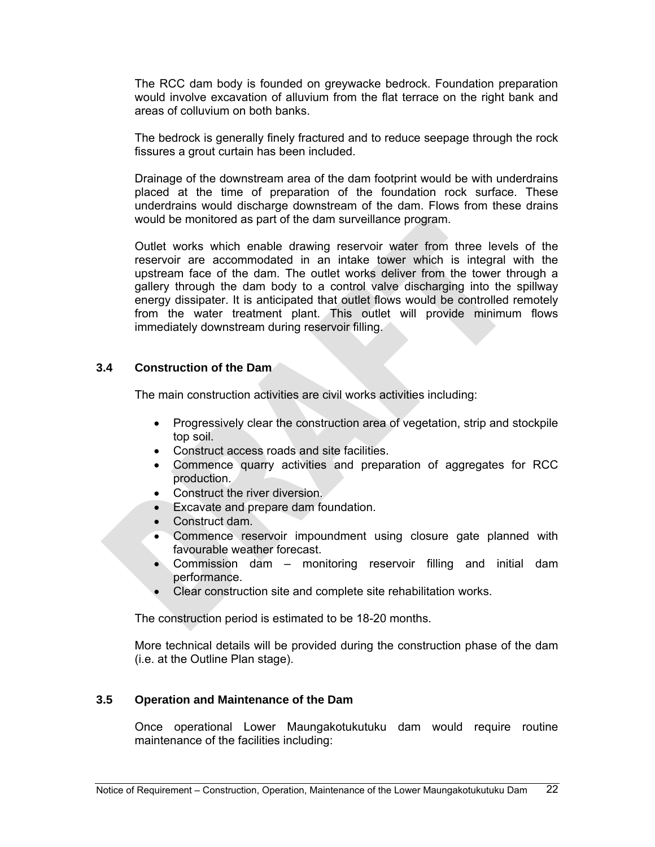The RCC dam body is founded on greywacke bedrock. Foundation preparation would involve excavation of alluvium from the flat terrace on the right bank and areas of colluvium on both banks.

The bedrock is generally finely fractured and to reduce seepage through the rock fissures a grout curtain has been included.

Drainage of the downstream area of the dam footprint would be with underdrains placed at the time of preparation of the foundation rock surface. These underdrains would discharge downstream of the dam. Flows from these drains would be monitored as part of the dam surveillance program.

Outlet works which enable drawing reservoir water from three levels of the reservoir are accommodated in an intake tower which is integral with the upstream face of the dam. The outlet works deliver from the tower through a gallery through the dam body to a control valve discharging into the spillway energy dissipater. It is anticipated that outlet flows would be controlled remotely from the water treatment plant. This outlet will provide minimum flows immediately downstream during reservoir filling.

# **3.4 Construction of the Dam**

The main construction activities are civil works activities including:

- Progressively clear the construction area of vegetation, strip and stockpile top soil.
- Construct access roads and site facilities.
- Commence quarry activities and preparation of aggregates for RCC production.
- Construct the river diversion.
- Excavate and prepare dam foundation.
- Construct dam.
- Commence reservoir impoundment using closure gate planned with favourable weather forecast.
- Commission dam monitoring reservoir filling and initial dam performance.
- Clear construction site and complete site rehabilitation works.

The construction period is estimated to be 18-20 months.

More technical details will be provided during the construction phase of the dam (i.e. at the Outline Plan stage).

# **3.5 Operation and Maintenance of the Dam**

Once operational Lower Maungakotukutuku dam would require routine maintenance of the facilities including: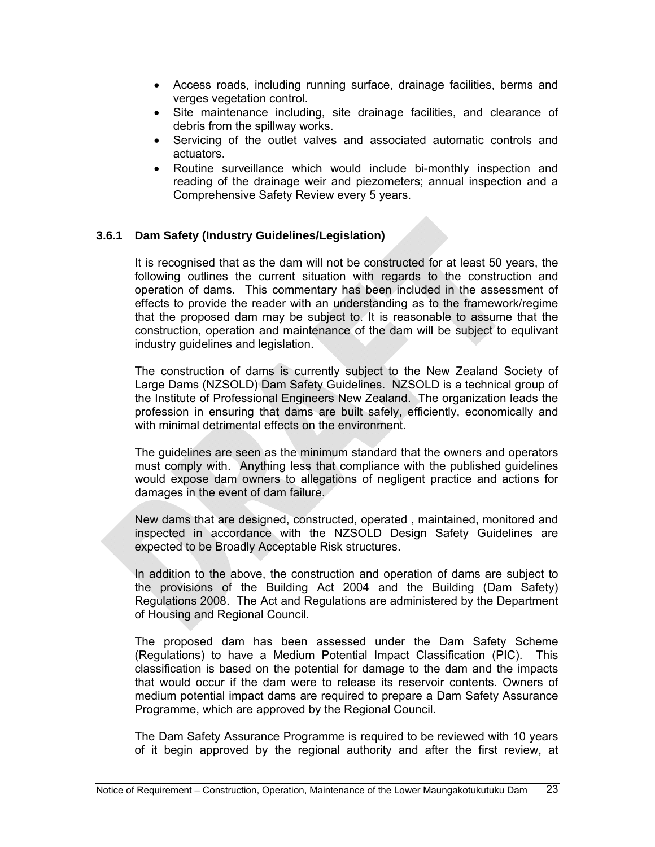- Access roads, including running surface, drainage facilities, berms and verges vegetation control.
- Site maintenance including, site drainage facilities, and clearance of debris from the spillway works.
- Servicing of the outlet valves and associated automatic controls and actuators.
- Routine surveillance which would include bi-monthly inspection and reading of the drainage weir and piezometers; annual inspection and a Comprehensive Safety Review every 5 years.

# **3.6.1 Dam Safety (Industry Guidelines/Legislation)**

It is recognised that as the dam will not be constructed for at least 50 years, the following outlines the current situation with regards to the construction and operation of dams. This commentary has been included in the assessment of effects to provide the reader with an understanding as to the framework/regime that the proposed dam may be subject to. It is reasonable to assume that the construction, operation and maintenance of the dam will be subject to equlivant industry guidelines and legislation.

The construction of dams is currently subject to the New Zealand Society of Large Dams (NZSOLD) Dam Safety Guidelines. NZSOLD is a technical group of the Institute of Professional Engineers New Zealand. The organization leads the profession in ensuring that dams are built safely, efficiently, economically and with minimal detrimental effects on the environment.

The guidelines are seen as the minimum standard that the owners and operators must comply with. Anything less that compliance with the published guidelines would expose dam owners to allegations of negligent practice and actions for damages in the event of dam failure.

New dams that are designed, constructed, operated , maintained, monitored and inspected in accordance with the NZSOLD Design Safety Guidelines are expected to be Broadly Acceptable Risk structures.

In addition to the above, the construction and operation of dams are subject to the provisions of the Building Act 2004 and the Building (Dam Safety) Regulations 2008. The Act and Regulations are administered by the Department of Housing and Regional Council.

The proposed dam has been assessed under the Dam Safety Scheme (Regulations) to have a Medium Potential Impact Classification (PIC). This classification is based on the potential for damage to the dam and the impacts that would occur if the dam were to release its reservoir contents. Owners of medium potential impact dams are required to prepare a Dam Safety Assurance Programme, which are approved by the Regional Council.

The Dam Safety Assurance Programme is required to be reviewed with 10 years of it begin approved by the regional authority and after the first review, at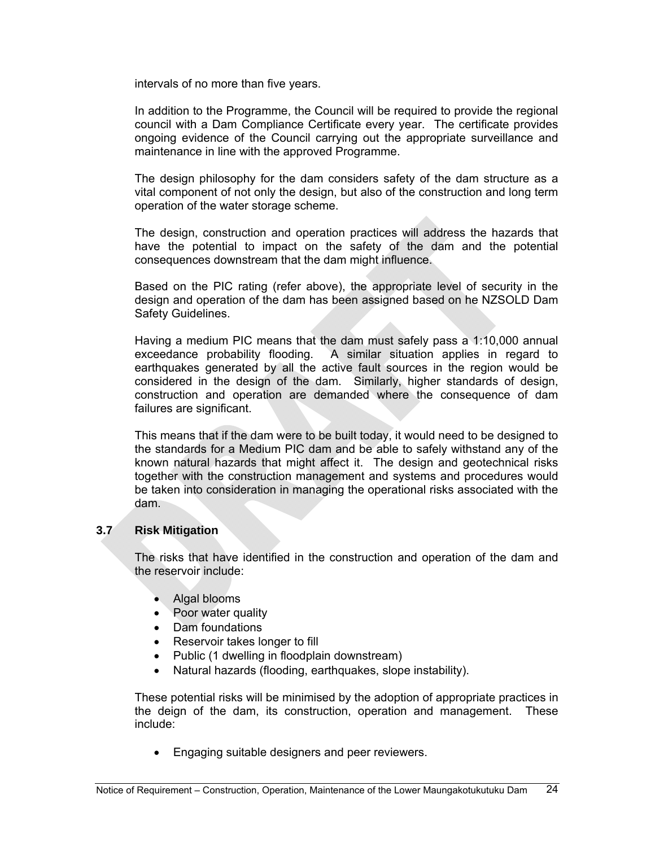intervals of no more than five years.

In addition to the Programme, the Council will be required to provide the regional council with a Dam Compliance Certificate every year. The certificate provides ongoing evidence of the Council carrying out the appropriate surveillance and maintenance in line with the approved Programme.

The design philosophy for the dam considers safety of the dam structure as a vital component of not only the design, but also of the construction and long term operation of the water storage scheme.

The design, construction and operation practices will address the hazards that have the potential to impact on the safety of the dam and the potential consequences downstream that the dam might influence.

Based on the PIC rating (refer above), the appropriate level of security in the design and operation of the dam has been assigned based on he NZSOLD Dam Safety Guidelines.

Having a medium PIC means that the dam must safely pass a 1:10,000 annual exceedance probability flooding. A similar situation applies in regard to earthquakes generated by all the active fault sources in the region would be considered in the design of the dam. Similarly, higher standards of design, construction and operation are demanded where the consequence of dam failures are significant.

This means that if the dam were to be built today, it would need to be designed to the standards for a Medium PIC dam and be able to safely withstand any of the known natural hazards that might affect it. The design and geotechnical risks together with the construction management and systems and procedures would be taken into consideration in managing the operational risks associated with the dam.

# **3.7 Risk Mitigation**

The risks that have identified in the construction and operation of the dam and the reservoir include:

- Algal blooms
- Poor water quality
- Dam foundations
- Reservoir takes longer to fill
- Public (1 dwelling in floodplain downstream)
- Natural hazards (flooding, earthquakes, slope instability).

These potential risks will be minimised by the adoption of appropriate practices in the deign of the dam, its construction, operation and management. These include:

Engaging suitable designers and peer reviewers.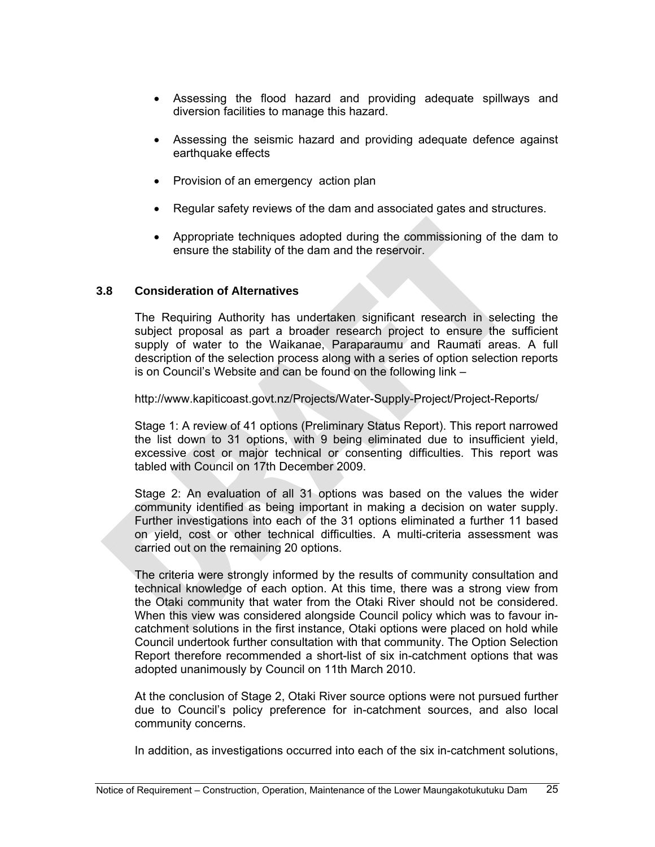- Assessing the flood hazard and providing adequate spillways and diversion facilities to manage this hazard.
- Assessing the seismic hazard and providing adequate defence against earthquake effects
- Provision of an emergency action plan
- Regular safety reviews of the dam and associated gates and structures.
- Appropriate techniques adopted during the commissioning of the dam to ensure the stability of the dam and the reservoir.

# **3.8 Consideration of Alternatives**

The Requiring Authority has undertaken significant research in selecting the subject proposal as part a broader research project to ensure the sufficient supply of water to the Waikanae, Paraparaumu and Raumati areas. A full description of the selection process along with a series of option selection reports is on Council's Website and can be found on the following link –

<http://www.kapiticoast.govt.nz/Projects/Water-Supply-Project/Project-Reports/>

Stage 1: A review of 41 options (Preliminary Status Report). This report narrowed the list down to 31 options, with 9 being eliminated due to insufficient yield, excessive cost or major technical or consenting difficulties. This report was tabled with Council on 17th December 2009.

Stage 2: An evaluation of all 31 options was based on the values the wider community identified as being important in making a decision on water supply. Further investigations into each of the 31 options eliminated a further 11 based on yield, cost or other technical difficulties. A multi-criteria assessment was carried out on the remaining 20 options.

The criteria were strongly informed by the results of community consultation and technical knowledge of each option. At this time, there was a strong view from the Otaki community that water from the Otaki River should not be considered. When this view was considered alongside Council policy which was to favour incatchment solutions in the first instance, Otaki options were placed on hold while Council undertook further consultation with that community. The Option Selection Report therefore recommended a short-list of six in-catchment options that was adopted unanimously by Council on 11th March 2010.

At the conclusion of Stage 2, Otaki River source options were not pursued further due to Council's policy preference for in-catchment sources, and also local community concerns.

In addition, as investigations occurred into each of the six in-catchment solutions,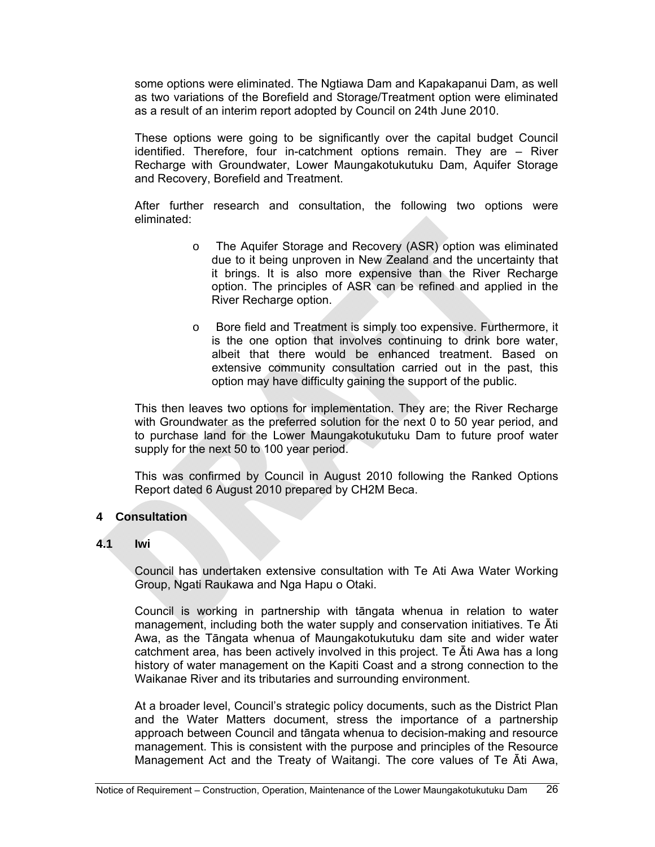some options were eliminated. The Ngtiawa Dam and Kapakapanui Dam, as well as two variations of the Borefield and Storage/Treatment option were eliminated as a result of an interim report adopted by Council on 24th June 2010.

These options were going to be significantly over the capital budget Council identified. Therefore, four in-catchment options remain. They are – River Recharge with Groundwater, Lower Maungakotukutuku Dam, Aquifer Storage and Recovery, Borefield and Treatment.

After further research and consultation, the following two options were eliminated:

- o The Aquifer Storage and Recovery (ASR) option was eliminated due to it being unproven in New Zealand and the uncertainty that it brings. It is also more expensive than the River Recharge option. The principles of ASR can be refined and applied in the River Recharge option.
- o Bore field and Treatment is simply too expensive. Furthermore, it is the one option that involves continuing to drink bore water, albeit that there would be enhanced treatment. Based on extensive community consultation carried out in the past, this option may have difficulty gaining the support of the public.

This then leaves two options for implementation. They are; the River Recharge with Groundwater as the preferred solution for the next 0 to 50 year period, and to purchase land for the Lower Maungakotukutuku Dam to future proof water supply for the next 50 to 100 year period.

This was confirmed by Council in August 2010 following the Ranked Options Report dated 6 August 2010 prepared by CH2M Beca.

#### **4 Consultation**

#### **4.1 Iwi**

Council has undertaken extensive consultation with Te Ati Awa Water Working Group, Ngati Raukawa and Nga Hapu o Otaki.

Council is working in partnership with tāngata whenua in relation to water management, including both the water supply and conservation initiatives. Te Āti Awa, as the Tāngata whenua of Maungakotukutuku dam site and wider water catchment area, has been actively involved in this project. Te Āti Awa has a long history of water management on the Kapiti Coast and a strong connection to the Waikanae River and its tributaries and surrounding environment.

At a broader level, Council's strategic policy documents, such as the District Plan and the Water Matters document, stress the importance of a partnership approach between Council and tāngata whenua to decision-making and resource management. This is consistent with the purpose and principles of the Resource Management Act and the Treaty of Waitangi. The core values of Te Āti Awa,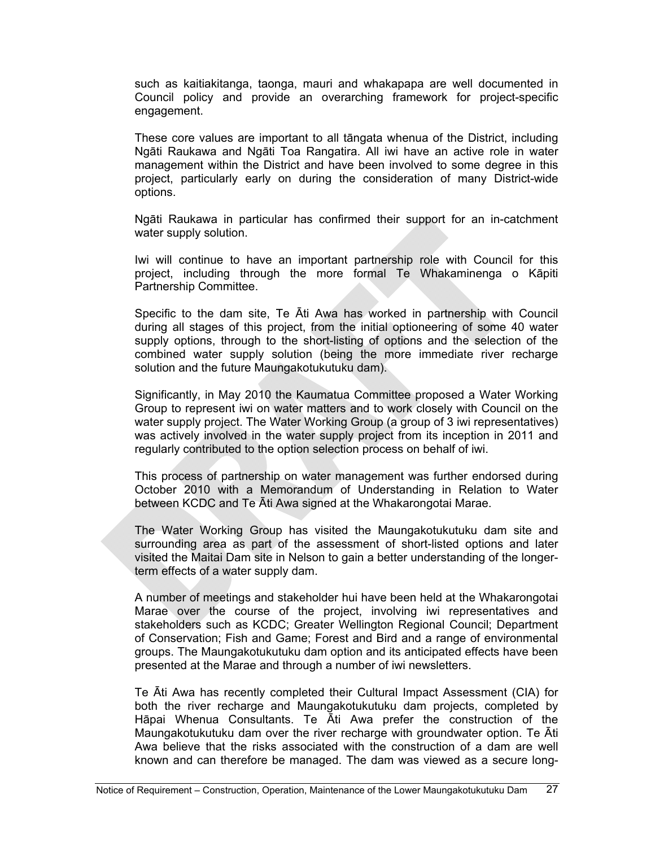such as kaitiakitanga, taonga, mauri and whakapapa are well documented in Council policy and provide an overarching framework for project-specific engagement.

These core values are important to all tāngata whenua of the District, including Ngāti Raukawa and Ngāti Toa Rangatira. All iwi have an active role in water management within the District and have been involved to some degree in this project, particularly early on during the consideration of many District-wide options.

Ngāti Raukawa in particular has confirmed their support for an in-catchment water supply solution.

Iwi will continue to have an important partnership role with Council for this project, including through the more formal Te Whakaminenga o Kāpiti Partnership Committee.

Specific to the dam site, Te Āti Awa has worked in partnership with Council during all stages of this project, from the initial optioneering of some 40 water supply options, through to the short-listing of options and the selection of the combined water supply solution (being the more immediate river recharge solution and the future Maungakotukutuku dam).

Significantly, in May 2010 the Kaumatua Committee proposed a Water Working Group to represent iwi on water matters and to work closely with Council on the water supply project. The Water Working Group (a group of 3 iwi representatives) was actively involved in the water supply project from its inception in 2011 and regularly contributed to the option selection process on behalf of iwi.

This process of partnership on water management was further endorsed during October 2010 with a Memorandum of Understanding in Relation to Water between KCDC and Te Āti Awa signed at the Whakarongotai Marae.

The Water Working Group has visited the Maungakotukutuku dam site and surrounding area as part of the assessment of short-listed options and later visited the Maitai Dam site in Nelson to gain a better understanding of the longerterm effects of a water supply dam.

A number of meetings and stakeholder hui have been held at the Whakarongotai Marae over the course of the project, involving iwi representatives and stakeholders such as KCDC; Greater Wellington Regional Council; Department of Conservation; Fish and Game; Forest and Bird and a range of environmental groups. The Maungakotukutuku dam option and its anticipated effects have been presented at the Marae and through a number of iwi newsletters.

Te Āti Awa has recently completed their Cultural Impact Assessment (CIA) for both the river recharge and Maungakotukutuku dam projects, completed by Hāpai Whenua Consultants. Te Āti Awa prefer the construction of the Maungakotukutuku dam over the river recharge with groundwater option. Te Āti Awa believe that the risks associated with the construction of a dam are well known and can therefore be managed. The dam was viewed as a secure long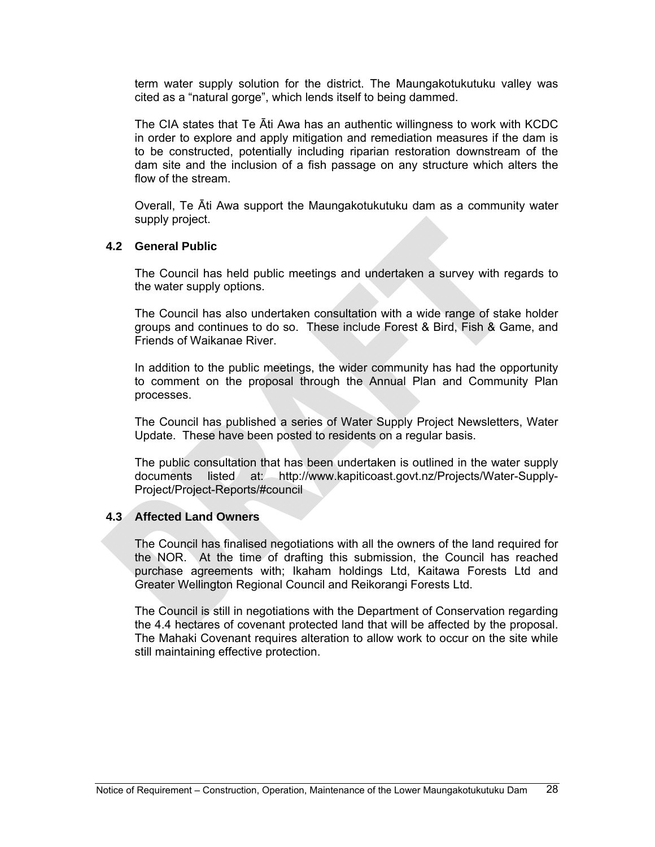term water supply solution for the district. The Maungakotukutuku valley was cited as a "natural gorge", which lends itself to being dammed.

The CIA states that Te Āti Awa has an authentic willingness to work with KCDC in order to explore and apply mitigation and remediation measures if the dam is to be constructed, potentially including riparian restoration downstream of the dam site and the inclusion of a fish passage on any structure which alters the flow of the stream.

Overall, Te Āti Awa support the Maungakotukutuku dam as a community water supply project.

#### **4.2 General Public**

The Council has held public meetings and undertaken a survey with regards to the water supply options.

The Council has also undertaken consultation with a wide range of stake holder groups and continues to do so. These include Forest & Bird, Fish & Game, and Friends of Waikanae River.

In addition to the public meetings, the wider community has had the opportunity to comment on the proposal through the [Annual Plan](http://www.kapiticoast.govt.nz/Planning/Annual-Plan/) and [Community Plan](http://www.kapiticoast.govt.nz/Planning/Long-Term-Plan/LTCCP/) processes.

The Council has published a series of Water Supply Project Newsletters, Water Update. These have been posted to residents on a regular basis.

The public consultation that has been undertaken is outlined in the water supply documents listed at: http://www.kapiticoast.govt.nz/Projects/Water-Supply-Project/Project-Reports/#council

#### **4.3 Affected Land Owners**

The Council has finalised negotiations with all the owners of the land required for the NOR. At the time of drafting this submission, the Council has reached purchase agreements with; Ikaham holdings Ltd, Kaitawa Forests Ltd and Greater Wellington Regional Council and Reikorangi Forests Ltd.

The Council is still in negotiations with the Department of Conservation regarding the 4.4 hectares of covenant protected land that will be affected by the proposal. The Mahaki Covenant requires alteration to allow work to occur on the site while still maintaining effective protection.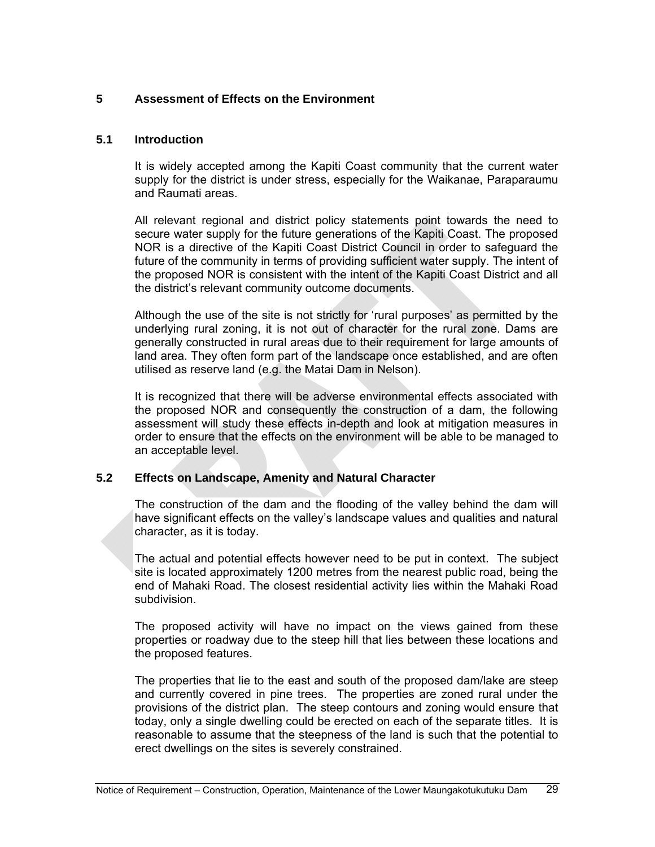# **5 Assessment of Effects on the Environment**

#### **5.1 Introduction**

It is widely accepted among the Kapiti Coast community that the current water supply for the district is under stress, especially for the Waikanae, Paraparaumu and Raumati areas.

All relevant regional and district policy statements point towards the need to secure water supply for the future generations of the Kapiti Coast. The proposed NOR is a directive of the Kapiti Coast District Council in order to safeguard the future of the community in terms of providing sufficient water supply. The intent of the proposed NOR is consistent with the intent of the Kapiti Coast District and all the district's relevant community outcome documents.

Although the use of the site is not strictly for 'rural purposes' as permitted by the underlying rural zoning, it is not out of character for the rural zone. Dams are generally constructed in rural areas due to their requirement for large amounts of land area. They often form part of the landscape once established, and are often utilised as reserve land (e.g. the Matai Dam in Nelson).

It is recognized that there will be adverse environmental effects associated with the proposed NOR and consequently the construction of a dam, the following assessment will study these effects in-depth and look at mitigation measures in order to ensure that the effects on the environment will be able to be managed to an acceptable level.

# **5.2 Effects on Landscape, Amenity and Natural Character**

The construction of the dam and the flooding of the valley behind the dam will have significant effects on the valley's landscape values and qualities and natural character, as it is today.

The actual and potential effects however need to be put in context. The subject site is located approximately 1200 metres from the nearest public road, being the end of Mahaki Road. The closest residential activity lies within the Mahaki Road subdivision.

The proposed activity will have no impact on the views gained from these properties or roadway due to the steep hill that lies between these locations and the proposed features.

The properties that lie to the east and south of the proposed dam/lake are steep and currently covered in pine trees. The properties are zoned rural under the provisions of the district plan. The steep contours and zoning would ensure that today, only a single dwelling could be erected on each of the separate titles. It is reasonable to assume that the steepness of the land is such that the potential to erect dwellings on the sites is severely constrained.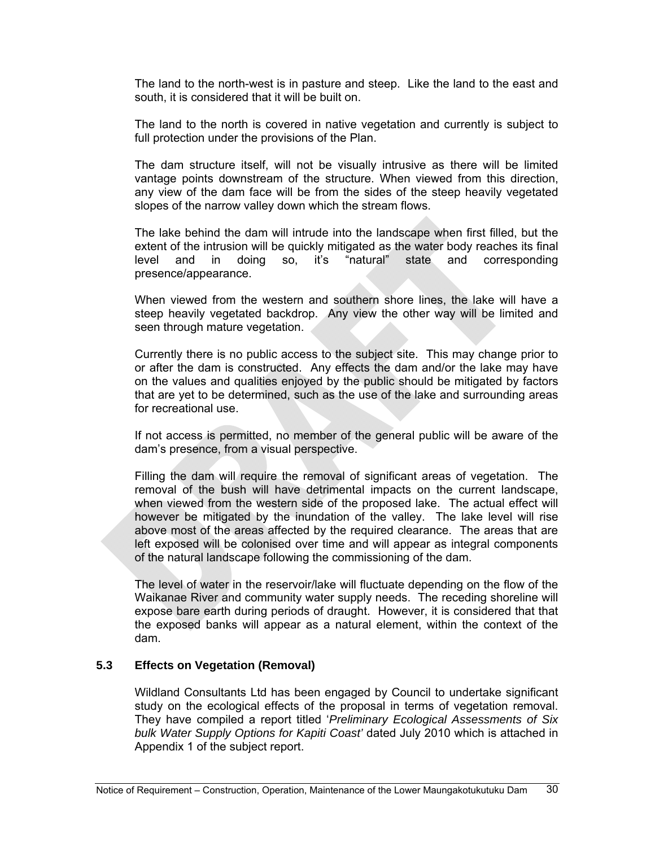The land to the north-west is in pasture and steep. Like the land to the east and south, it is considered that it will be built on.

The land to the north is covered in native vegetation and currently is subject to full protection under the provisions of the Plan.

The dam structure itself, will not be visually intrusive as there will be limited vantage points downstream of the structure. When viewed from this direction, any view of the dam face will be from the sides of the steep heavily vegetated slopes of the narrow valley down which the stream flows.

The lake behind the dam will intrude into the landscape when first filled, but the extent of the intrusion will be quickly mitigated as the water body reaches its final level and in doing so, it's "natural" state and corresponding presence/appearance.

When viewed from the western and southern shore lines, the lake will have a steep heavily vegetated backdrop. Any view the other way will be limited and seen through mature vegetation.

Currently there is no public access to the subject site. This may change prior to or after the dam is constructed. Any effects the dam and/or the lake may have on the values and qualities enjoyed by the public should be mitigated by factors that are yet to be determined, such as the use of the lake and surrounding areas for recreational use.

If not access is permitted, no member of the general public will be aware of the dam's presence, from a visual perspective.

Filling the dam will require the removal of significant areas of vegetation. The removal of the bush will have detrimental impacts on the current landscape, when viewed from the western side of the proposed lake. The actual effect will however be mitigated by the inundation of the valley. The lake level will rise above most of the areas affected by the required clearance. The areas that are left exposed will be colonised over time and will appear as integral components of the natural landscape following the commissioning of the dam.

The level of water in the reservoir/lake will fluctuate depending on the flow of the Waikanae River and community water supply needs. The receding shoreline will expose bare earth during periods of draught. However, it is considered that that the exposed banks will appear as a natural element, within the context of the dam.

# **5.3 Effects on Vegetation (Removal)**

Wildland Consultants Ltd has been engaged by Council to undertake significant study on the ecological effects of the proposal in terms of vegetation removal. They have compiled a report titled '*Preliminary Ecological Assessments of Six bulk Water Supply Options for Kapiti Coast'* dated July 2010 which is attached in Appendix 1 of the subject report.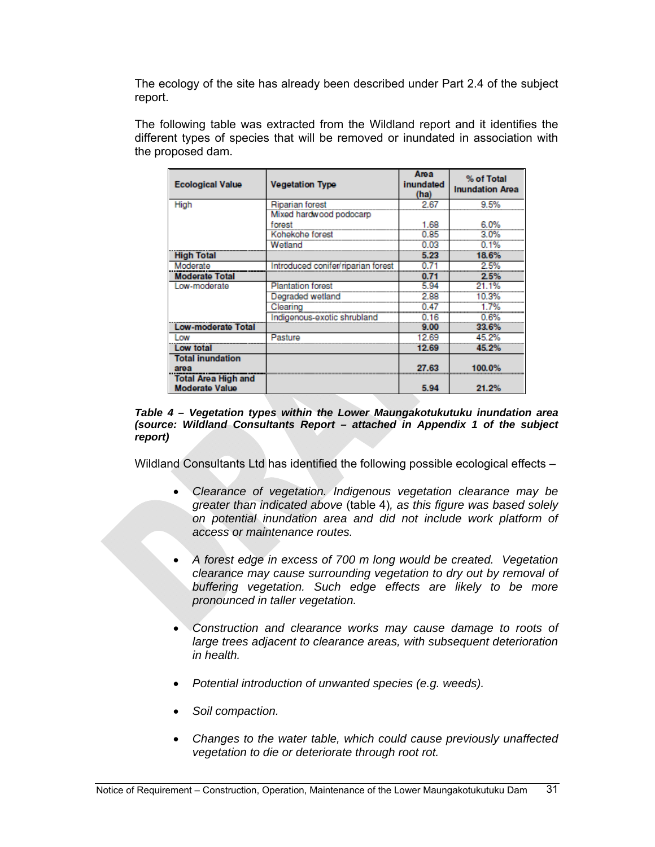The ecology of the site has already been described under Part 2.4 of the subject report.

The following table was extracted from the Wildland report and it identifies the different types of species that will be removed or inundated in association with the proposed dam.

| <b>Ecological Value</b>    | <b>Vegetation Type</b>             | Area<br>inundated<br>(ha) | % of Total<br><b>Inundation Area</b> |
|----------------------------|------------------------------------|---------------------------|--------------------------------------|
| High                       | Riparian forest                    | 2.67                      | 9.5%                                 |
|                            | Mixed hardwood podocarp            |                           |                                      |
|                            | forest                             | 1.68                      | 6.0%                                 |
|                            | Kohekohe forest                    | 0.85                      | 3.0%                                 |
|                            | Wetland                            | 0.03                      | 0.1%                                 |
| <b>High Total</b>          |                                    | 5.23                      | 18.6%                                |
| Moderate                   | Introduced conifer/riparian forest | 0.71                      | 2.5%                                 |
| <b>Moderate Total</b>      |                                    | 0.71                      | 2.5%                                 |
| Low-moderate               | <b>Plantation forest</b>           | 5.94                      | 21.1%                                |
|                            | Degraded wetland                   | 2.88                      | 10.3%                                |
|                            | Clearing                           | 0.47                      | 1.7%                                 |
|                            | Indigenous-exotic shrubland        | 0.16                      | 0.6%                                 |
| <b>Low-moderate Total</b>  |                                    | 9.00                      | 33.6%                                |
| Low                        | Pasture                            | 12.69                     | 45.2%                                |
| Low total                  |                                    | 12.69                     | 45.2%                                |
| <b>Total inundation</b>    |                                    |                           |                                      |
| area                       |                                    | 27.63                     | 100.0%                               |
| <b>Total Area High and</b> |                                    |                           |                                      |
| <b>Moderate Value</b>      |                                    | 5.94                      | 21.2%                                |

*Table 4 – Vegetation types within the Lower Maungakotukutuku inundation area (source: Wildland Consultants Report – attached in Appendix 1 of the subject report)* 

Wildland Consultants Ltd has identified the following possible ecological effects –

- *Clearance of vegetation. Indigenous vegetation clearance may be greater than indicated above* (table 4)*, as this figure was based solely on potential inundation area and did not include work platform of access or maintenance routes.*
- *A forest edge in excess of 700 m long would be created. Vegetation clearance may cause surrounding vegetation to dry out by removal of buffering vegetation. Such edge effects are likely to be more pronounced in taller vegetation.*
- *Construction and clearance works may cause damage to roots of large trees adjacent to clearance areas, with subsequent deterioration in health.*
- *Potential introduction of unwanted species (e.g. weeds).*
- *Soil compaction.*
- *Changes to the water table, which could cause previously unaffected vegetation to die or deteriorate through root rot.*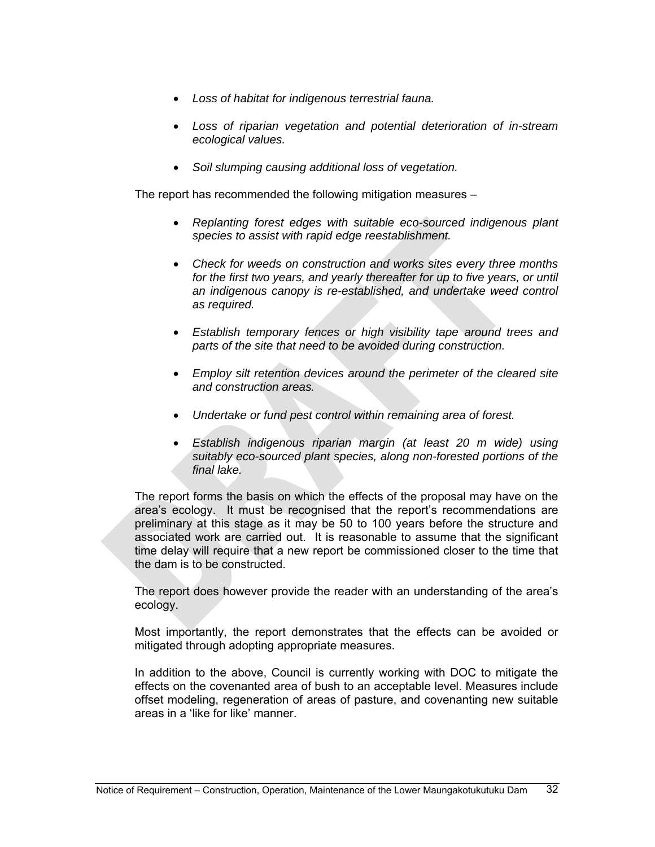- *Loss of habitat for indigenous terrestrial fauna.*
- *Loss of riparian vegetation and potential deterioration of in-stream ecological values.*
- *Soil slumping causing additional loss of vegetation.*

The report has recommended the following mitigation measures –

- *Replanting forest edges with suitable eco-sourced indigenous plant species to assist with rapid edge reestablishment.*
- *Check for weeds on construction and works sites every three months for the first two years, and yearly thereafter for up to five years, or until an indigenous canopy is re-established, and undertake weed control as required.*
- *Establish temporary fences or high visibility tape around trees and parts of the site that need to be avoided during construction.*
- *Employ silt retention devices around the perimeter of the cleared site and construction areas.*
- *Undertake or fund pest control within remaining area of forest.*
- *Establish indigenous riparian margin (at least 20 m wide) using suitably eco-sourced plant species, along non-forested portions of the final lake.*

The report forms the basis on which the effects of the proposal may have on the area's ecology. It must be recognised that the report's recommendations are preliminary at this stage as it may be 50 to 100 years before the structure and associated work are carried out. It is reasonable to assume that the significant time delay will require that a new report be commissioned closer to the time that the dam is to be constructed.

The report does however provide the reader with an understanding of the area's ecology.

Most importantly, the report demonstrates that the effects can be avoided or mitigated through adopting appropriate measures.

In addition to the above, Council is currently working with DOC to mitigate the effects on the covenanted area of bush to an acceptable level. Measures include offset modeling, regeneration of areas of pasture, and covenanting new suitable areas in a 'like for like' manner.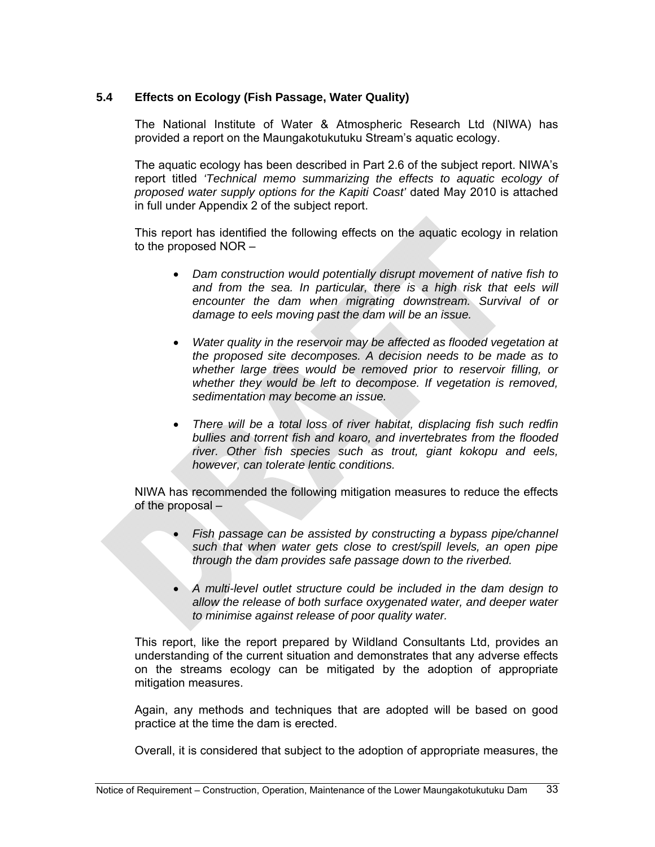# **5.4 Effects on Ecology (Fish Passage, Water Quality)**

The National Institute of Water & Atmospheric Research Ltd (NIWA) has provided a report on the Maungakotukutuku Stream's aquatic ecology.

The aquatic ecology has been described in Part 2.6 of the subject report. NIWA's report titled *'Technical memo summarizing the effects to aquatic ecology of proposed water supply options for the Kapiti Coast'* dated May 2010 is attached in full under Appendix 2 of the subject report.

This report has identified the following effects on the aquatic ecology in relation to the proposed NOR –

- *Dam construction would potentially disrupt movement of native fish to*  and from the sea. In particular, there is a high risk that eels will *encounter the dam when migrating downstream. Survival of or damage to eels moving past the dam will be an issue.*
- *Water quality in the reservoir may be affected as flooded vegetation at the proposed site decomposes. A decision needs to be made as to whether large trees would be removed prior to reservoir filling, or whether they would be left to decompose. If vegetation is removed, sedimentation may become an issue.*
- *There will be a total loss of river habitat, displacing fish such redfin bullies and torrent fish and koaro, and invertebrates from the flooded river. Other fish species such as trout, giant kokopu and eels, however, can tolerate lentic conditions.*

NIWA has recommended the following mitigation measures to reduce the effects of the proposal –

- *Fish passage can be assisted by constructing a bypass pipe/channel such that when water gets close to crest/spill levels, an open pipe through the dam provides safe passage down to the riverbed.*
- *A multi-level outlet structure could be included in the dam design to allow the release of both surface oxygenated water, and deeper water to minimise against release of poor quality water.*

This report, like the report prepared by Wildland Consultants Ltd, provides an understanding of the current situation and demonstrates that any adverse effects on the streams ecology can be mitigated by the adoption of appropriate mitigation measures.

Again, any methods and techniques that are adopted will be based on good practice at the time the dam is erected.

Overall, it is considered that subject to the adoption of appropriate measures, the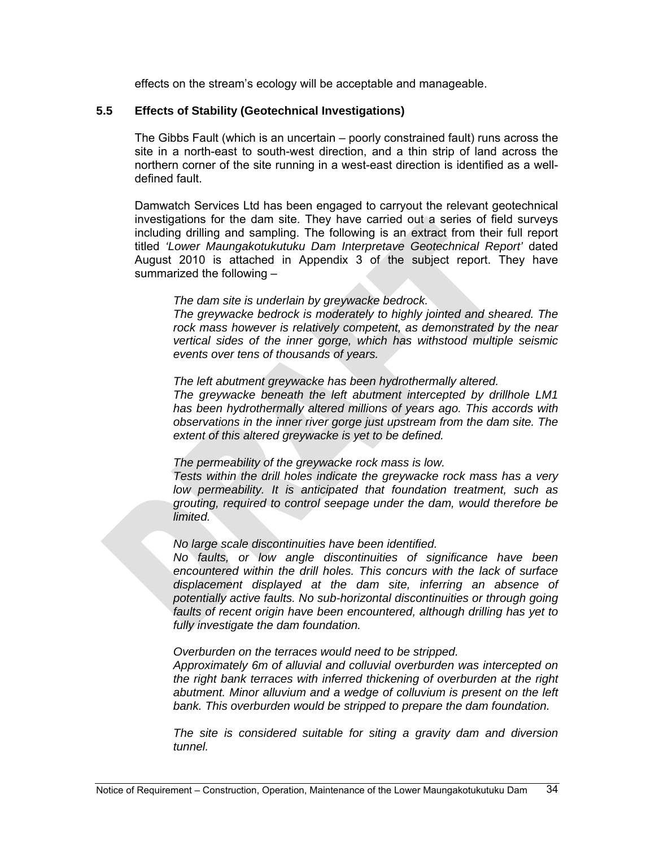effects on the stream's ecology will be acceptable and manageable.

# **5.5 Effects of Stability (Geotechnical Investigations)**

The Gibbs Fault (which is an uncertain – poorly constrained fault) runs across the site in a north-east to south-west direction, and a thin strip of land across the northern corner of the site running in a west-east direction is identified as a welldefined fault.

Damwatch Services Ltd has been engaged to carryout the relevant geotechnical investigations for the dam site. They have carried out a series of field surveys including drilling and sampling. The following is an extract from their full report titled *'Lower Maungakotukutuku Dam Interpretave Geotechnical Report'* dated August 2010 is attached in Appendix 3 of the subject report. They have summarized the following –

*The dam site is underlain by greywacke bedrock.* 

*The greywacke bedrock is moderately to highly jointed and sheared. The rock mass however is relatively competent, as demonstrated by the near vertical sides of the inner gorge, which has withstood multiple seismic events over tens of thousands of years.* 

*The left abutment greywacke has been hydrothermally altered.* 

*The greywacke beneath the left abutment intercepted by drillhole LM1 has been hydrothermally altered millions of years ago. This accords with observations in the inner river gorge just upstream from the dam site. The extent of this altered greywacke is yet to be defined.* 

*The permeability of the greywacke rock mass is low.* 

*Tests within the drill holes indicate the greywacke rock mass has a very low permeability. It is anticipated that foundation treatment, such as grouting, required to control seepage under the dam, would therefore be limited.* 

#### *No large scale discontinuities have been identified.*

*No faults, or low angle discontinuities of significance have been encountered within the drill holes. This concurs with the lack of surface displacement displayed at the dam site, inferring an absence of potentially active faults. No sub-horizontal discontinuities or through going*  faults of recent origin have been encountered, although drilling has yet to *fully investigate the dam foundation.* 

*Overburden on the terraces would need to be stripped.* 

*Approximately 6m of alluvial and colluvial overburden was intercepted on the right bank terraces with inferred thickening of overburden at the right abutment. Minor alluvium and a wedge of colluvium is present on the left bank. This overburden would be stripped to prepare the dam foundation.* 

*The site is considered suitable for siting a gravity dam and diversion tunnel.*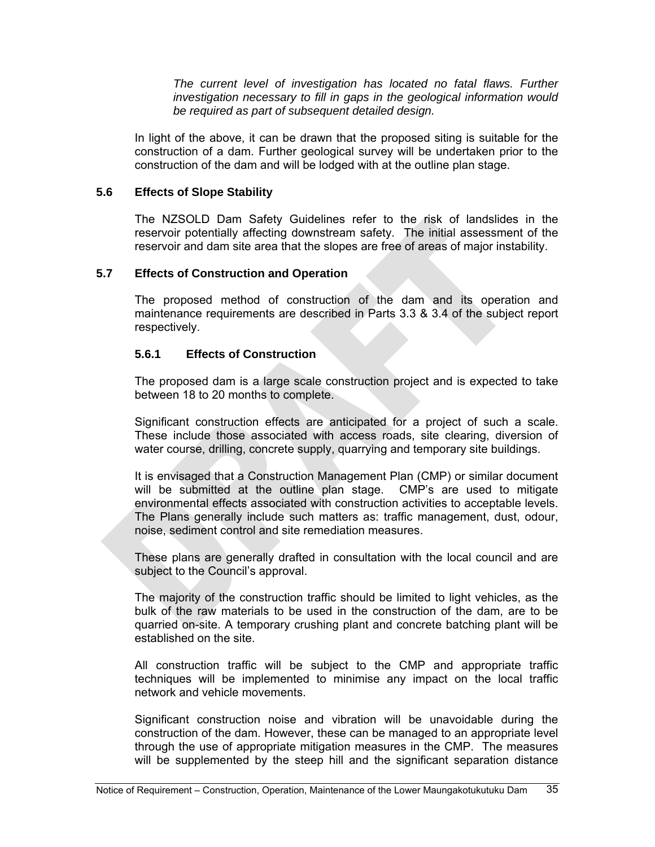*The current level of investigation has located no fatal flaws. Further investigation necessary to fill in gaps in the geological information would be required as part of subsequent detailed design.* 

In light of the above, it can be drawn that the proposed siting is suitable for the construction of a dam. Further geological survey will be undertaken prior to the construction of the dam and will be lodged with at the outline plan stage.

#### **5.6 Effects of Slope Stability**

The NZSOLD Dam Safety Guidelines refer to the risk of landslides in the reservoir potentially affecting downstream safety. The initial assessment of the reservoir and dam site area that the slopes are free of areas of major instability.

#### **5.7 Effects of Construction and Operation**

The proposed method of construction of the dam and its operation and maintenance requirements are described in Parts 3.3 & 3.4 of the subject report respectively.

#### **5.6.1 Effects of Construction**

The proposed dam is a large scale construction project and is expected to take between 18 to 20 months to complete.

Significant construction effects are anticipated for a project of such a scale. These include those associated with access roads, site clearing, diversion of water course, drilling, concrete supply, quarrying and temporary site buildings.

It is envisaged that a Construction Management Plan (CMP) or similar document will be submitted at the outline plan stage. CMP's are used to mitigate environmental effects associated with construction activities to acceptable levels. The Plans generally include such matters as: traffic management, dust, odour, noise, sediment control and site remediation measures.

These plans are generally drafted in consultation with the local council and are subject to the Council's approval.

The majority of the construction traffic should be limited to light vehicles, as the bulk of the raw materials to be used in the construction of the dam, are to be quarried on-site. A temporary crushing plant and concrete batching plant will be established on the site.

All construction traffic will be subject to the CMP and appropriate traffic techniques will be implemented to minimise any impact on the local traffic network and vehicle movements.

Significant construction noise and vibration will be unavoidable during the construction of the dam. However, these can be managed to an appropriate level through the use of appropriate mitigation measures in the CMP. The measures will be supplemented by the steep hill and the significant separation distance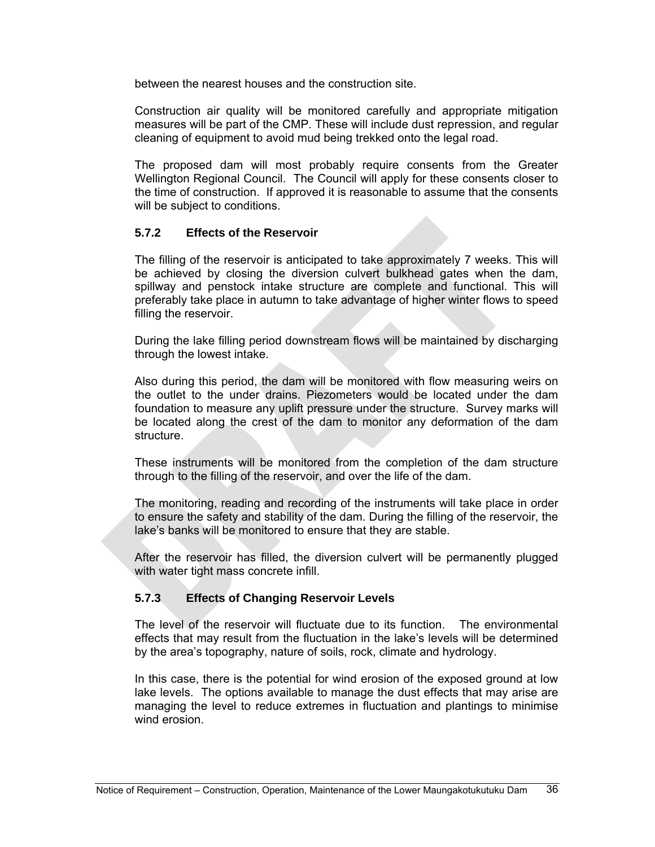between the nearest houses and the construction site.

Construction air quality will be monitored carefully and appropriate mitigation measures will be part of the CMP. These will include dust repression, and regular cleaning of equipment to avoid mud being trekked onto the legal road.

The proposed dam will most probably require consents from the Greater Wellington Regional Council. The Council will apply for these consents closer to the time of construction. If approved it is reasonable to assume that the consents will be subject to conditions.

# **5.7.2 Effects of the Reservoir**

The filling of the reservoir is anticipated to take approximately 7 weeks. This will be achieved by closing the diversion culvert bulkhead gates when the dam, spillway and penstock intake structure are complete and functional. This will preferably take place in autumn to take advantage of higher winter flows to speed filling the reservoir.

During the lake filling period downstream flows will be maintained by discharging through the lowest intake.

Also during this period, the dam will be monitored with flow measuring weirs on the outlet to the under drains. Piezometers would be located under the dam foundation to measure any uplift pressure under the structure. Survey marks will be located along the crest of the dam to monitor any deformation of the dam structure.

These instruments will be monitored from the completion of the dam structure through to the filling of the reservoir, and over the life of the dam.

The monitoring, reading and recording of the instruments will take place in order to ensure the safety and stability of the dam. During the filling of the reservoir, the lake's banks will be monitored to ensure that they are stable.

After the reservoir has filled, the diversion culvert will be permanently plugged with water tight mass concrete infill.

# **5.7.3 Effects of Changing Reservoir Levels**

The level of the reservoir will fluctuate due to its function. The environmental effects that may result from the fluctuation in the lake's levels will be determined by the area's topography, nature of soils, rock, climate and hydrology.

In this case, there is the potential for wind erosion of the exposed ground at low lake levels. The options available to manage the dust effects that may arise are managing the level to reduce extremes in fluctuation and plantings to minimise wind erosion.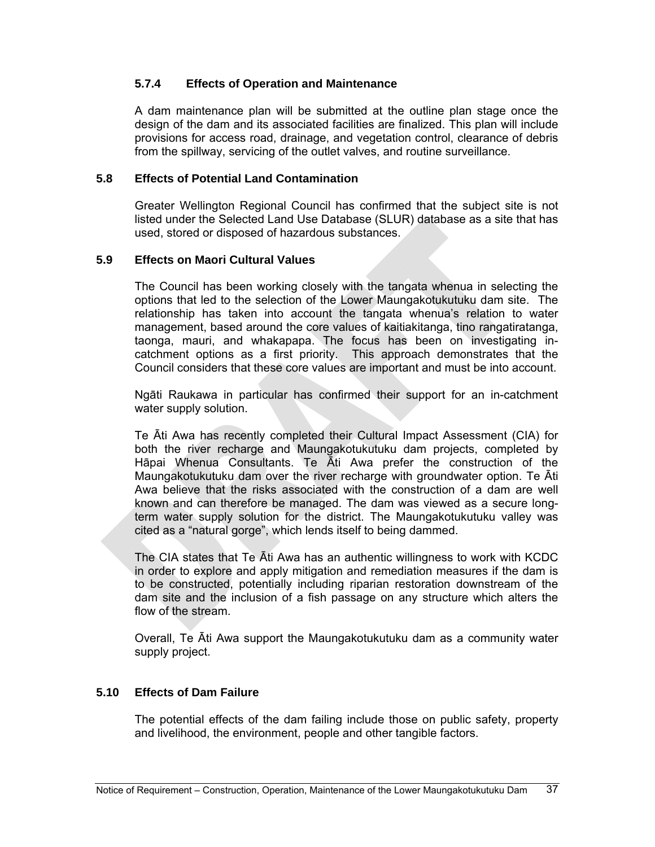# **5.7.4 Effects of Operation and Maintenance**

A dam maintenance plan will be submitted at the outline plan stage once the design of the dam and its associated facilities are finalized. This plan will include provisions for access road, drainage, and vegetation control, clearance of debris from the spillway, servicing of the outlet valves, and routine surveillance.

#### **5.8 Effects of Potential Land Contamination**

Greater Wellington Regional Council has confirmed that the subject site is not listed under the Selected Land Use Database (SLUR) database as a site that has used, stored or disposed of hazardous substances.

# **5.9 Effects on Maori Cultural Values**

The Council has been working closely with the tangata whenua in selecting the options that led to the selection of the Lower Maungakotukutuku dam site. The relationship has taken into account the tangata whenua's relation to water management, based around the core values of kaitiakitanga, tino rangatiratanga, taonga, mauri, and whakapapa. The focus has been on investigating incatchment options as a first priority. This approach demonstrates that the Council considers that these core values are important and must be into account.

Ngāti Raukawa in particular has confirmed their support for an in-catchment water supply solution.

Te Āti Awa has recently completed their Cultural Impact Assessment (CIA) for both the river recharge and Maungakotukutuku dam projects, completed by Hāpai Whenua Consultants. Te Āti Awa prefer the construction of the Maungakotukutuku dam over the river recharge with groundwater option. Te Āti Awa believe that the risks associated with the construction of a dam are well known and can therefore be managed. The dam was viewed as a secure longterm water supply solution for the district. The Maungakotukutuku valley was cited as a "natural gorge", which lends itself to being dammed.

The CIA states that Te Āti Awa has an authentic willingness to work with KCDC in order to explore and apply mitigation and remediation measures if the dam is to be constructed, potentially including riparian restoration downstream of the dam site and the inclusion of a fish passage on any structure which alters the flow of the stream.

Overall, Te Āti Awa support the Maungakotukutuku dam as a community water supply project.

# **5.10 Effects of Dam Failure**

The potential effects of the dam failing include those on public safety, property and livelihood, the environment, people and other tangible factors.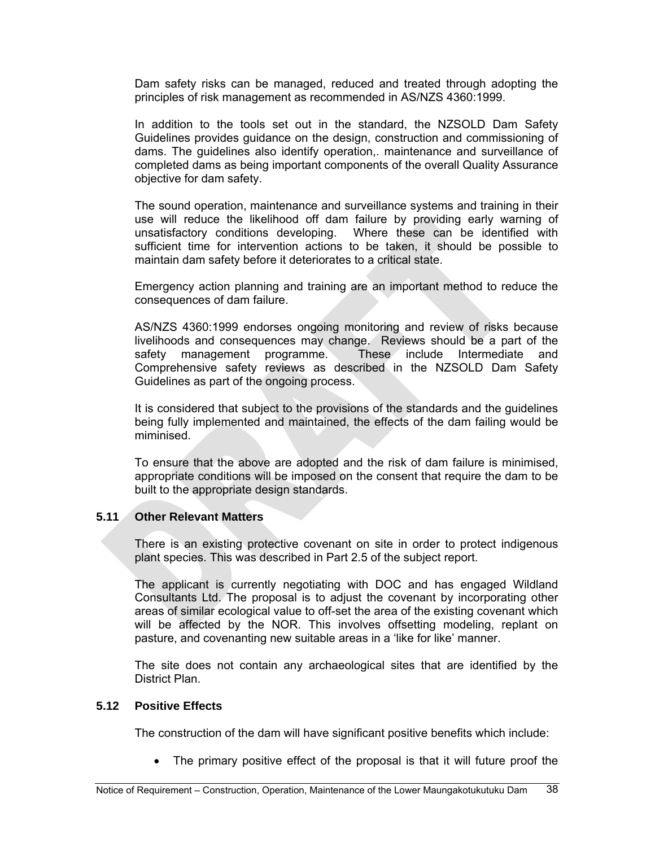Dam safety risks can be managed, reduced and treated through adopting the principles of risk management as recommended in AS/NZS 4360:1999.

In addition to the tools set out in the standard, the NZSOLD Dam Safety Guidelines provides guidance on the design, construction and commissioning of dams. The guidelines also identify operation,. maintenance and surveillance of completed dams as being important components of the overall Quality Assurance objective for dam safety.

The sound operation, maintenance and surveillance systems and training in their use will reduce the likelihood off dam failure by providing early warning of unsatisfactory conditions developing. Where these can be identified with sufficient time for intervention actions to be taken, it should be possible to maintain dam safety before it deteriorates to a critical state.

Emergency action planning and training are an important method to reduce the consequences of dam failure.

AS/NZS 4360:1999 endorses ongoing monitoring and review of risks because livelihoods and consequences may change. Reviews should be a part of the safety management programme. These include Intermediate and Comprehensive safety reviews as described in the NZSOLD Dam Safety Guidelines as part of the ongoing process.

It is considered that subject to the provisions of the standards and the guidelines being fully implemented and maintained, the effects of the dam failing would be miminised.

To ensure that the above are adopted and the risk of dam failure is minimised, appropriate conditions will be imposed on the consent that require the dam to be built to the appropriate design standards.

#### **5.11 Other Relevant Matters**

There is an existing protective covenant on site in order to protect indigenous plant species. This was described in Part 2.5 of the subject report.

The applicant is currently negotiating with DOC and has engaged Wildland Consultants Ltd. The proposal is to adjust the covenant by incorporating other areas of similar ecological value to off-set the area of the existing covenant which will be affected by the NOR. This involves offsetting modeling, replant on pasture, and covenanting new suitable areas in a 'like for like' manner.

The site does not contain any archaeological sites that are identified by the District Plan.

# **5.12 Positive Effects**

The construction of the dam will have significant positive benefits which include:

The primary positive effect of the proposal is that it will future proof the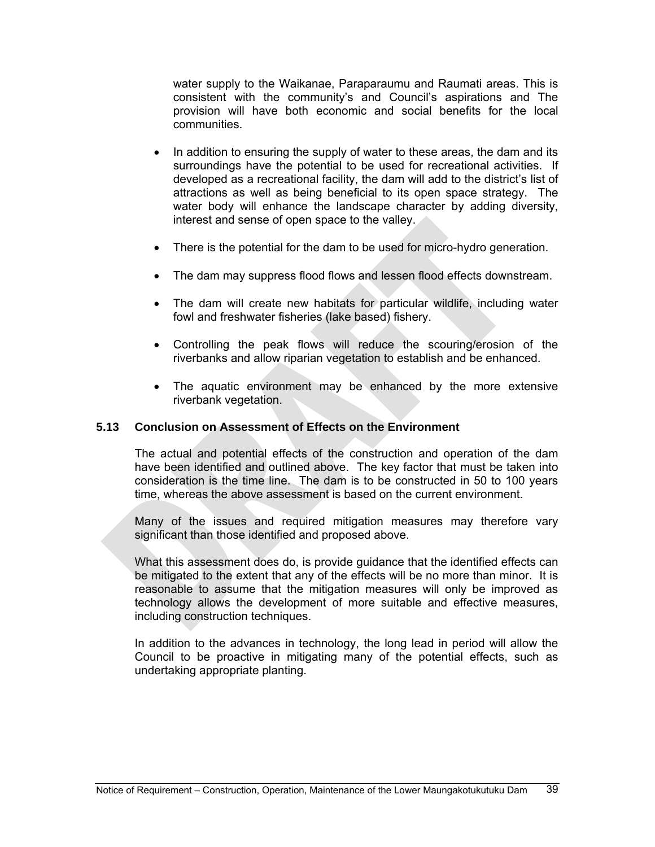water supply to the Waikanae, Paraparaumu and Raumati areas. This is consistent with the community's and Council's aspirations and The provision will have both economic and social benefits for the local communities.

- In addition to ensuring the supply of water to these areas, the dam and its surroundings have the potential to be used for recreational activities. If developed as a recreational facility, the dam will add to the district's list of attractions as well as being beneficial to its open space strategy. The water body will enhance the landscape character by adding diversity, interest and sense of open space to the valley.
- There is the potential for the dam to be used for micro-hydro generation.
- The dam may suppress flood flows and lessen flood effects downstream.
- The dam will create new habitats for particular wildlife, including water fowl and freshwater fisheries (lake based) fishery.
- Controlling the peak flows will reduce the scouring/erosion of the riverbanks and allow riparian vegetation to establish and be enhanced.
- The aquatic environment may be enhanced by the more extensive riverbank vegetation.

# **5.13 Conclusion on Assessment of Effects on the Environment**

The actual and potential effects of the construction and operation of the dam have been identified and outlined above. The key factor that must be taken into consideration is the time line. The dam is to be constructed in 50 to 100 years time, whereas the above assessment is based on the current environment.

Many of the issues and required mitigation measures may therefore vary significant than those identified and proposed above.

What this assessment does do, is provide guidance that the identified effects can be mitigated to the extent that any of the effects will be no more than minor. It is reasonable to assume that the mitigation measures will only be improved as technology allows the development of more suitable and effective measures, including construction techniques.

In addition to the advances in technology, the long lead in period will allow the Council to be proactive in mitigating many of the potential effects, such as undertaking appropriate planting.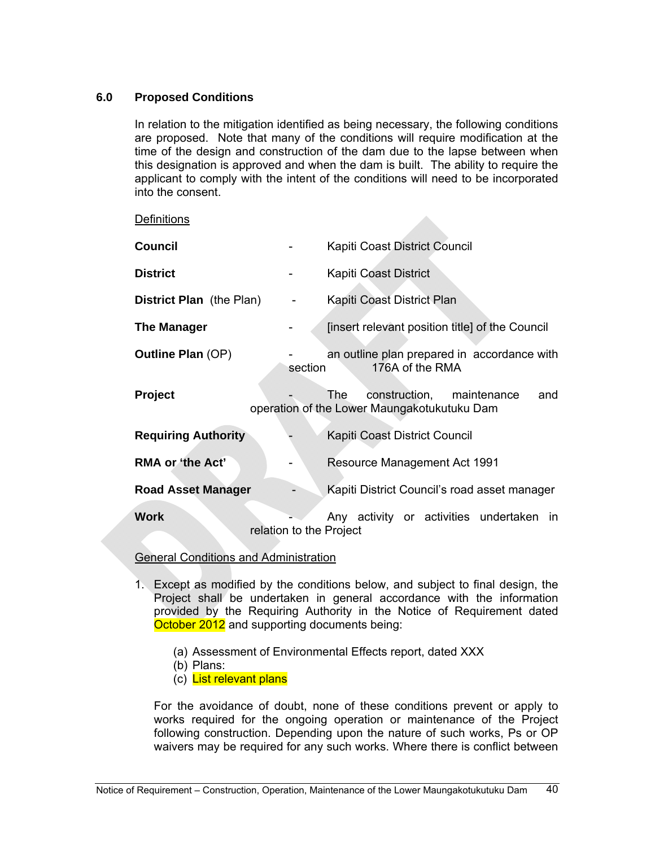# **6.0 Proposed Conditions**

In relation to the mitigation identified as being necessary, the following conditions are proposed. Note that many of the conditions will require modification at the time of the design and construction of the dam due to the lapse between when this designation is approved and when the dam is built. The ability to require the applicant to comply with the intent of the conditions will need to be incorporated into the consent.

| <b>Definitions</b> |  |
|--------------------|--|
|                    |  |

| <b>Council</b>                  |                         | Kapiti Coast District Council                                                          |
|---------------------------------|-------------------------|----------------------------------------------------------------------------------------|
| <b>District</b>                 |                         | Kapiti Coast District                                                                  |
| <b>District Plan</b> (the Plan) |                         | Kapiti Coast District Plan                                                             |
| <b>The Manager</b>              |                         | [insert relevant position title] of the Council                                        |
| <b>Outline Plan (OP)</b>        | section                 | an outline plan prepared in accordance with<br>176A of the RMA                         |
| <b>Project</b>                  |                         | construction, maintenance<br>The<br>and<br>operation of the Lower Maungakotukutuku Dam |
| <b>Requiring Authority</b>      |                         | Kapiti Coast District Council                                                          |
| <b>RMA or 'the Act'</b>         |                         | Resource Management Act 1991                                                           |
| <b>Road Asset Manager</b>       |                         | Kapiti District Council's road asset manager                                           |
| <b>Work</b>                     | relation to the Project | Any activity or activities undertaken in                                               |

#### General Conditions and Administration

- 1. Except as modified by the conditions below, and subject to final design, the Project shall be undertaken in general accordance with the information provided by the Requiring Authority in the Notice of Requirement dated October 2012 and supporting documents being:
	- (a) Assessment of Environmental Effects report, dated XXX
	- (b) Plans:
	- (c) List relevant plans

For the avoidance of doubt, none of these conditions prevent or apply to works required for the ongoing operation or maintenance of the Project following construction. Depending upon the nature of such works, Ps or OP waivers may be required for any such works. Where there is conflict between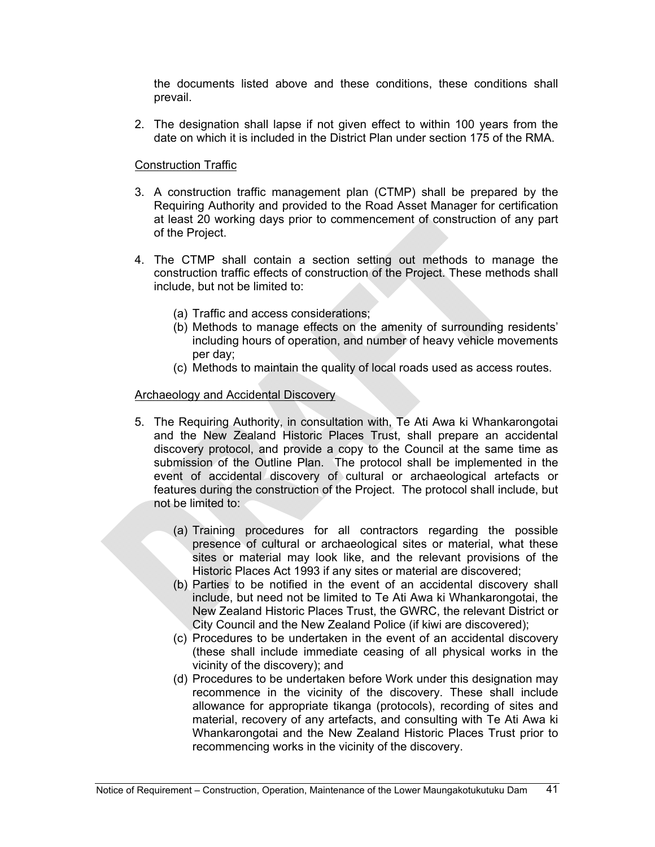the documents listed above and these conditions, these conditions shall prevail.

2. The designation shall lapse if not given effect to within 100 years from the date on which it is included in the District Plan under section 175 of the RMA.

# Construction Traffic

- 3. A construction traffic management plan (CTMP) shall be prepared by the Requiring Authority and provided to the Road Asset Manager for certification at least 20 working days prior to commencement of construction of any part of the Project.
- 4. The CTMP shall contain a section setting out methods to manage the construction traffic effects of construction of the Project. These methods shall include, but not be limited to:
	- (a) Traffic and access considerations;
	- (b) Methods to manage effects on the amenity of surrounding residents' including hours of operation, and number of heavy vehicle movements per day;
	- (c) Methods to maintain the quality of local roads used as access routes.

#### Archaeology and Accidental Discovery

- 5. The Requiring Authority, in consultation with, Te Ati Awa ki Whankarongotai and the New Zealand Historic Places Trust, shall prepare an accidental discovery protocol, and provide a copy to the Council at the same time as submission of the Outline Plan. The protocol shall be implemented in the event of accidental discovery of cultural or archaeological artefacts or features during the construction of the Project. The protocol shall include, but not be limited to:
	- (a) Training procedures for all contractors regarding the possible presence of cultural or archaeological sites or material, what these sites or material may look like, and the relevant provisions of the Historic Places Act 1993 if any sites or material are discovered;
	- (b) Parties to be notified in the event of an accidental discovery shall include, but need not be limited to Te Ati Awa ki Whankarongotai, the New Zealand Historic Places Trust, the GWRC, the relevant District or City Council and the New Zealand Police (if kiwi are discovered);
	- (c) Procedures to be undertaken in the event of an accidental discovery (these shall include immediate ceasing of all physical works in the vicinity of the discovery); and
	- (d) Procedures to be undertaken before Work under this designation may recommence in the vicinity of the discovery. These shall include allowance for appropriate tikanga (protocols), recording of sites and material, recovery of any artefacts, and consulting with Te Ati Awa ki Whankarongotai and the New Zealand Historic Places Trust prior to recommencing works in the vicinity of the discovery.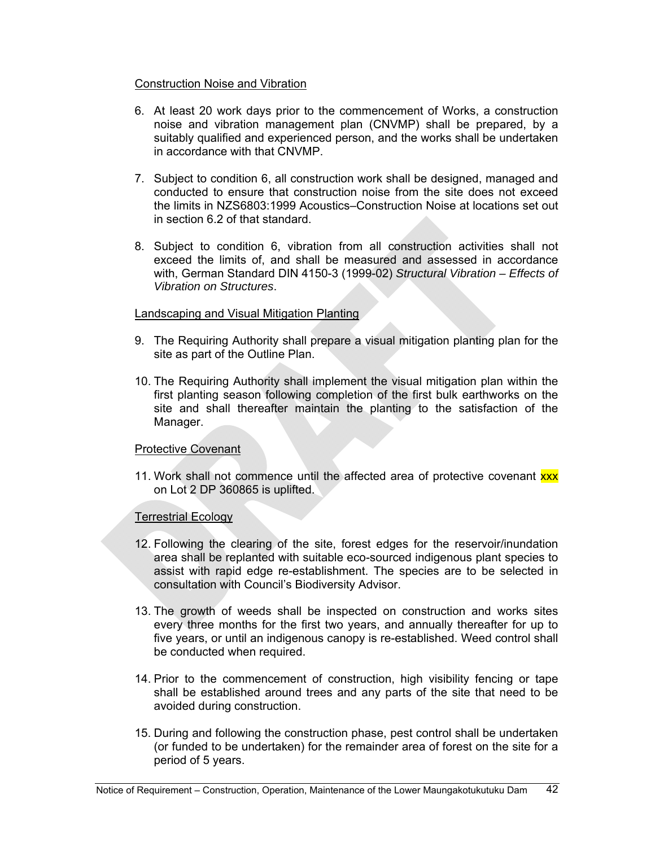#### Construction Noise and Vibration

- 6. At least 20 work days prior to the commencement of Works, a construction noise and vibration management plan (CNVMP) shall be prepared, by a suitably qualified and experienced person, and the works shall be undertaken in accordance with that CNVMP.
- 7. Subject to condition 6, all construction work shall be designed, managed and conducted to ensure that construction noise from the site does not exceed the limits in NZS6803:1999 Acoustics–Construction Noise at locations set out in section 6.2 of that standard.
- 8. Subject to condition 6, vibration from all construction activities shall not exceed the limits of, and shall be measured and assessed in accordance with, German Standard DIN 4150-3 (1999-02) *Structural Vibration – Effects of Vibration on Structures*.

# Landscaping and Visual Mitigation Planting

- 9. The Requiring Authority shall prepare a visual mitigation planting plan for the site as part of the Outline Plan.
- 10. The Requiring Authority shall implement the visual mitigation plan within the first planting season following completion of the first bulk earthworks on the site and shall thereafter maintain the planting to the satisfaction of the Manager.

# Protective Covenant

11. Work shall not commence until the affected area of protective covenant xxx on Lot 2 DP 360865 is uplifted.

# Terrestrial Ecology

- 12. Following the clearing of the site, forest edges for the reservoir/inundation area shall be replanted with suitable eco-sourced indigenous plant species to assist with rapid edge re-establishment. The species are to be selected in consultation with Council's Biodiversity Advisor.
- 13. The growth of weeds shall be inspected on construction and works sites every three months for the first two years, and annually thereafter for up to five years, or until an indigenous canopy is re-established. Weed control shall be conducted when required.
- 14. Prior to the commencement of construction, high visibility fencing or tape shall be established around trees and any parts of the site that need to be avoided during construction.
- 15. During and following the construction phase, pest control shall be undertaken (or funded to be undertaken) for the remainder area of forest on the site for a period of 5 years.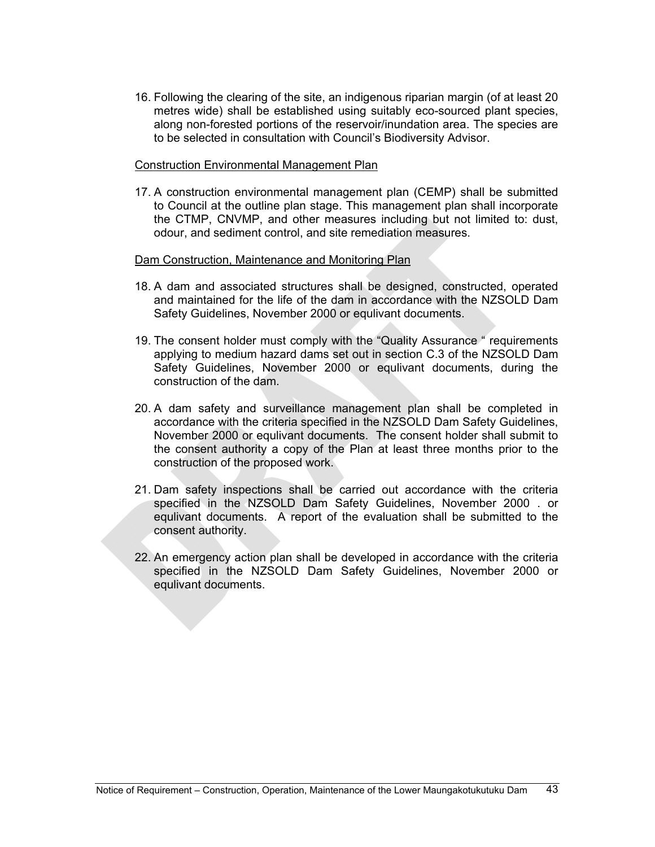16. Following the clearing of the site, an indigenous riparian margin (of at least 20 metres wide) shall be established using suitably eco-sourced plant species, along non-forested portions of the reservoir/inundation area. The species are to be selected in consultation with Council's Biodiversity Advisor.

#### Construction Environmental Management Plan

17. A construction environmental management plan (CEMP) shall be submitted to Council at the outline plan stage. This management plan shall incorporate the CTMP, CNVMP, and other measures including but not limited to: dust, odour, and sediment control, and site remediation measures.

#### Dam Construction, Maintenance and Monitoring Plan

- 18. A dam and associated structures shall be designed, constructed, operated and maintained for the life of the dam in accordance with the NZSOLD Dam Safety Guidelines, November 2000 or equlivant documents.
- 19. The consent holder must comply with the "Quality Assurance " requirements applying to medium hazard dams set out in section C.3 of the NZSOLD Dam Safety Guidelines, November 2000 or equlivant documents, during the construction of the dam.
- 20. A dam safety and surveillance management plan shall be completed in accordance with the criteria specified in the NZSOLD Dam Safety Guidelines, November 2000 or equlivant documents. The consent holder shall submit to the consent authority a copy of the Plan at least three months prior to the construction of the proposed work.
- 21. Dam safety inspections shall be carried out accordance with the criteria specified in the NZSOLD Dam Safety Guidelines, November 2000 . or equlivant documents. A report of the evaluation shall be submitted to the consent authority.
- 22. An emergency action plan shall be developed in accordance with the criteria specified in the NZSOLD Dam Safety Guidelines, November 2000 or equlivant documents.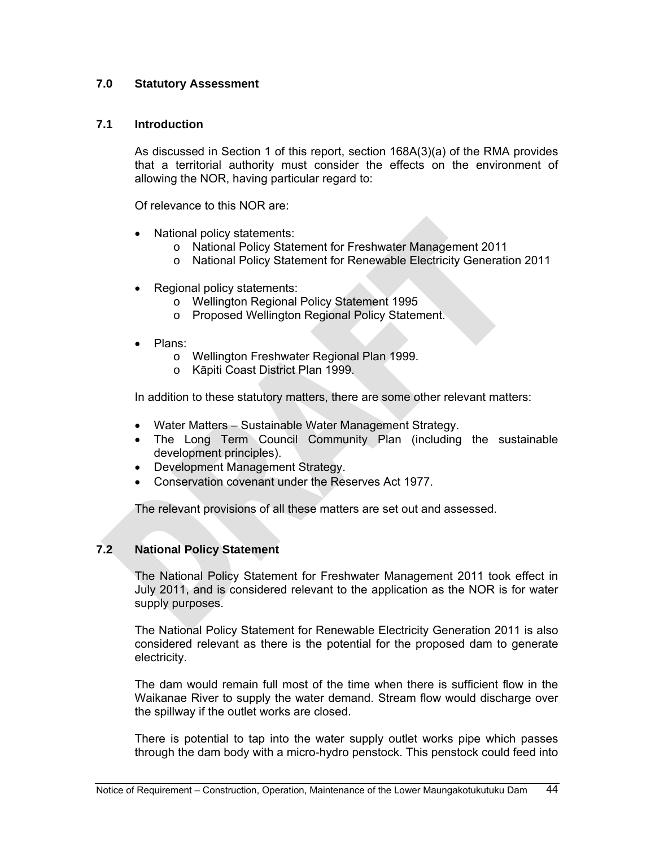# **7.0 Statutory Assessment**

# **7.1 Introduction**

As discussed in Section 1 of this report, section 168A(3)(a) of the RMA provides that a territorial authority must consider the effects on the environment of allowing the NOR, having particular regard to:

Of relevance to this NOR are:

- National policy statements:
	- o National Policy Statement for Freshwater Management 2011
	- o National Policy Statement for Renewable Electricity Generation 2011
- Regional policy statements:
	- o Wellington Regional Policy Statement 1995
	- o Proposed Wellington Regional Policy Statement.
- Plans:
	- o Wellington Freshwater Regional Plan 1999.
	- o Kāpiti Coast District Plan 1999.

In addition to these statutory matters, there are some other relevant matters:

- Water Matters Sustainable Water Management Strategy.
- The Long Term Council Community Plan (including the sustainable development principles).
- Development Management Strategy.
- Conservation covenant under the Reserves Act 1977.

The relevant provisions of all these matters are set out and assessed.

# **7.2 National Policy Statement**

The National Policy Statement for Freshwater Management 2011 took effect in July 2011, and is considered relevant to the application as the NOR is for water supply purposes.

The National Policy Statement for Renewable Electricity Generation 2011 is also considered relevant as there is the potential for the proposed dam to generate electricity.

The dam would remain full most of the time when there is sufficient flow in the Waikanae River to supply the water demand. Stream flow would discharge over the spillway if the outlet works are closed.

There is potential to tap into the water supply outlet works pipe which passes through the dam body with a micro-hydro penstock. This penstock could feed into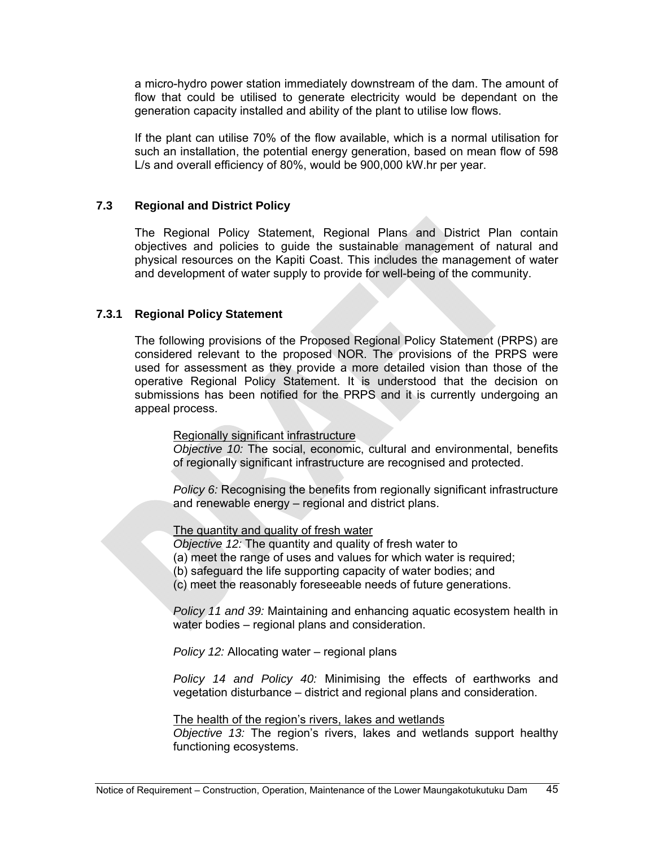a micro-hydro power station immediately downstream of the dam. The amount of flow that could be utilised to generate electricity would be dependant on the generation capacity installed and ability of the plant to utilise low flows.

If the plant can utilise 70% of the flow available, which is a normal utilisation for such an installation, the potential energy generation, based on mean flow of 598 L/s and overall efficiency of 80%, would be 900,000 kW.hr per year.

# **7.3 Regional and District Policy**

 The Regional Policy Statement, Regional Plans and District Plan contain objectives and policies to guide the sustainable management of natural and physical resources on the Kapiti Coast. This includes the management of water and development of water supply to provide for well-being of the community.

#### **7.3.1 Regional Policy Statement**

The following provisions of the Proposed Regional Policy Statement (PRPS) are considered relevant to the proposed NOR. The provisions of the PRPS were used for assessment as they provide a more detailed vision than those of the operative Regional Policy Statement. It is understood that the decision on submissions has been notified for the PRPS and it is currently undergoing an appeal process.

Regionally significant infrastructure

*Objective 10:* The social, economic, cultural and environmental, benefits of regionally significant infrastructure are recognised and protected.

*Policy 6:* Recognising the benefits from regionally significant infrastructure and renewable energy – regional and district plans.

The quantity and quality of fresh water

*Objective 12:* The quantity and quality of fresh water to

(a) meet the range of uses and values for which water is required;

(b) safeguard the life supporting capacity of water bodies; and

(c) meet the reasonably foreseeable needs of future generations.

*Policy 11 and 39:* Maintaining and enhancing aquatic ecosystem health in water bodies – regional plans and consideration.

*Policy 12:* Allocating water – regional plans

*Policy 14 and Policy 40:* Minimising the effects of earthworks and vegetation disturbance – district and regional plans and consideration.

#### The health of the region's rivers, lakes and wetlands

*Objective 13:* The region's rivers, lakes and wetlands support healthy functioning ecosystems.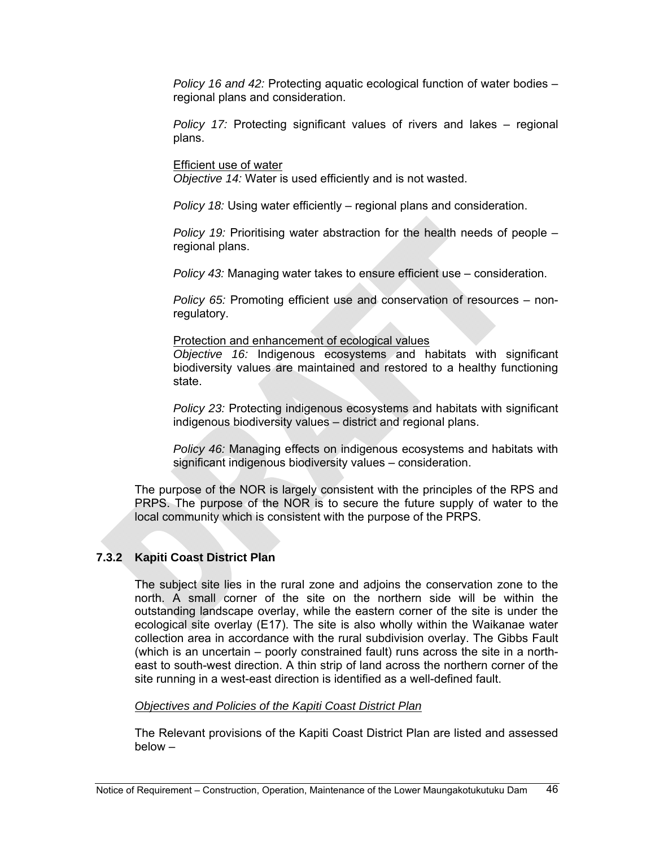*Policy 16 and 42:* Protecting aquatic ecological function of water bodies – regional plans and consideration.

*Policy 17:* Protecting significant values of rivers and lakes – regional plans.

Efficient use of water

*Objective 14:* Water is used efficiently and is not wasted.

*Policy 18:* Using water efficiently – regional plans and consideration.

*Policy 19:* Prioritising water abstraction for the health needs of people – regional plans.

*Policy 43:* Managing water takes to ensure efficient use – consideration.

*Policy 65:* Promoting efficient use and conservation of resources – nonregulatory.

#### Protection and enhancement of ecological values

*Objective 16:* Indigenous ecosystems and habitats with significant biodiversity values are maintained and restored to a healthy functioning state.

*Policy 23:* Protecting indigenous ecosystems and habitats with significant indigenous biodiversity values – district and regional plans.

*Policy 46:* Managing effects on indigenous ecosystems and habitats with significant indigenous biodiversity values – consideration.

The purpose of the NOR is largely consistent with the principles of the RPS and PRPS. The purpose of the NOR is to secure the future supply of water to the local community which is consistent with the purpose of the PRPS.

# **7.3.2 Kapiti Coast District Plan**

The subject site lies in the rural zone and adjoins the conservation zone to the north. A small corner of the site on the northern side will be within the outstanding landscape overlay, while the eastern corner of the site is under the ecological site overlay (E17). The site is also wholly within the Waikanae water collection area in accordance with the rural subdivision overlay. The Gibbs Fault (which is an uncertain – poorly constrained fault) runs across the site in a northeast to south-west direction. A thin strip of land across the northern corner of the site running in a west-east direction is identified as a well-defined fault.

#### *Objectives and Policies of the Kapiti Coast District Plan*

The Relevant provisions of the Kapiti Coast District Plan are listed and assessed below –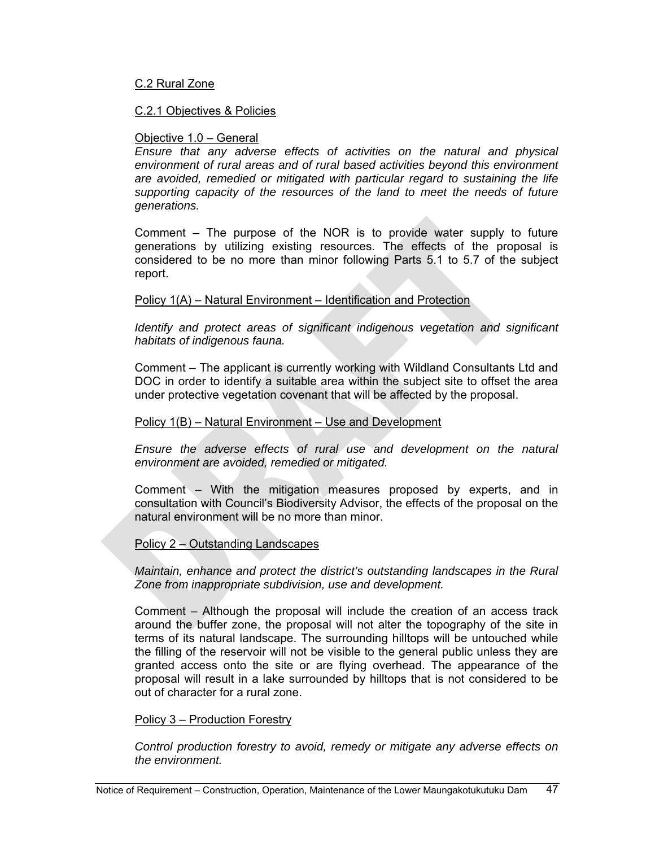#### C.2 Rural Zone

#### C.2.1 Objectives & Policies

#### Objective 1.0 – General

*Ensure that any adverse effects of activities on the natural and physical environment of rural areas and of rural based activities beyond this environment are avoided, remedied or mitigated with particular regard to sustaining the life supporting capacity of the resources of the land to meet the needs of future generations.* 

Comment – The purpose of the NOR is to provide water supply to future generations by utilizing existing resources. The effects of the proposal is considered to be no more than minor following Parts 5.1 to 5.7 of the subject report.

#### Policy 1(A) – Natural Environment – Identification and Protection

*Identify and protect areas of significant indigenous vegetation and significant habitats of indigenous fauna.* 

Comment – The applicant is currently working with Wildland Consultants Ltd and DOC in order to identify a suitable area within the subject site to offset the area under protective vegetation covenant that will be affected by the proposal.

#### Policy 1(B) – Natural Environment – Use and Development

*Ensure the adverse effects of rural use and development on the natural environment are avoided, remedied or mitigated.* 

Comment – With the mitigation measures proposed by experts, and in consultation with Council's Biodiversity Advisor, the effects of the proposal on the natural environment will be no more than minor.

#### Policy 2 – Outstanding Landscapes

*Maintain, enhance and protect the district's outstanding landscapes in the Rural Zone from inappropriate subdivision, use and development.* 

Comment – Although the proposal will include the creation of an access track around the buffer zone, the proposal will not alter the topography of the site in terms of its natural landscape. The surrounding hilltops will be untouched while the filling of the reservoir will not be visible to the general public unless they are granted access onto the site or are flying overhead. The appearance of the proposal will result in a lake surrounded by hilltops that is not considered to be out of character for a rural zone.

#### Policy 3 – Production Forestry

*Control production forestry to avoid, remedy or mitigate any adverse effects on the environment.*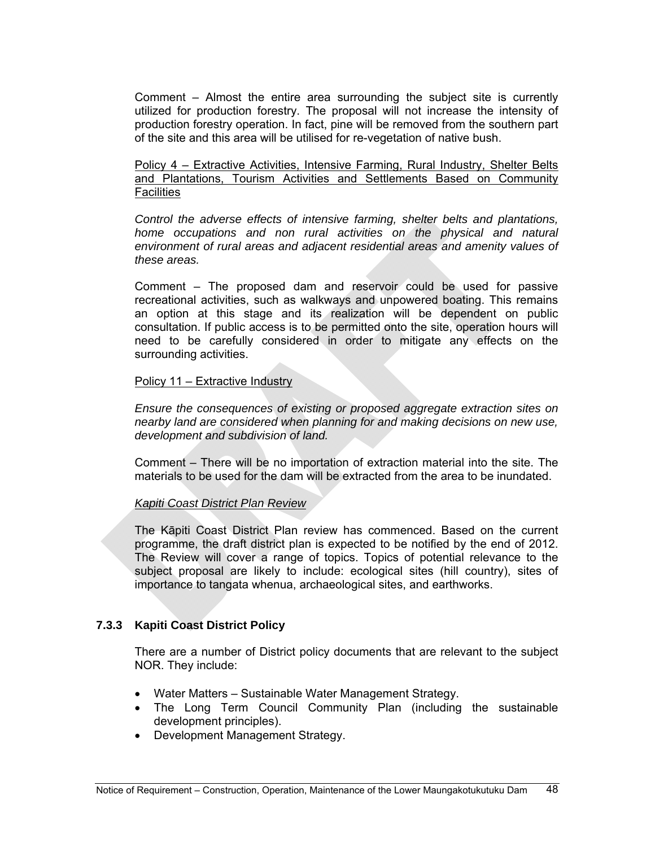Comment – Almost the entire area surrounding the subject site is currently utilized for production forestry. The proposal will not increase the intensity of production forestry operation. In fact, pine will be removed from the southern part of the site and this area will be utilised for re-vegetation of native bush.

Policy 4 – Extractive Activities, Intensive Farming, Rural Industry, Shelter Belts and Plantations, Tourism Activities and Settlements Based on Community **Facilities** 

*Control the adverse effects of intensive farming, shelter belts and plantations, home occupations and non rural activities on the physical and natural environment of rural areas and adjacent residential areas and amenity values of these areas.* 

Comment – The proposed dam and reservoir could be used for passive recreational activities, such as walkways and unpowered boating. This remains an option at this stage and its realization will be dependent on public consultation. If public access is to be permitted onto the site, operation hours will need to be carefully considered in order to mitigate any effects on the surrounding activities.

#### Policy 11 – Extractive Industry

*Ensure the consequences of existing or proposed aggregate extraction sites on nearby land are considered when planning for and making decisions on new use, development and subdivision of land.* 

Comment – There will be no importation of extraction material into the site. The materials to be used for the dam will be extracted from the area to be inundated.

# *Kapiti Coast District Plan Review*

The Kāpiti Coast District Plan review has commenced. Based on the current programme, the draft district plan is expected to be notified by the end of 2012. The Review will cover a range of topics. Topics of potential relevance to the subject proposal are likely to include: ecological sites (hill country), sites of importance to tangata whenua, archaeological sites, and earthworks.

# **7.3.3 Kapiti Coast District Policy**

There are a number of District policy documents that are relevant to the subject NOR. They include:

- Water Matters Sustainable Water Management Strategy.
- The Long Term Council Community Plan (including the sustainable development principles).
- Development Management Strategy.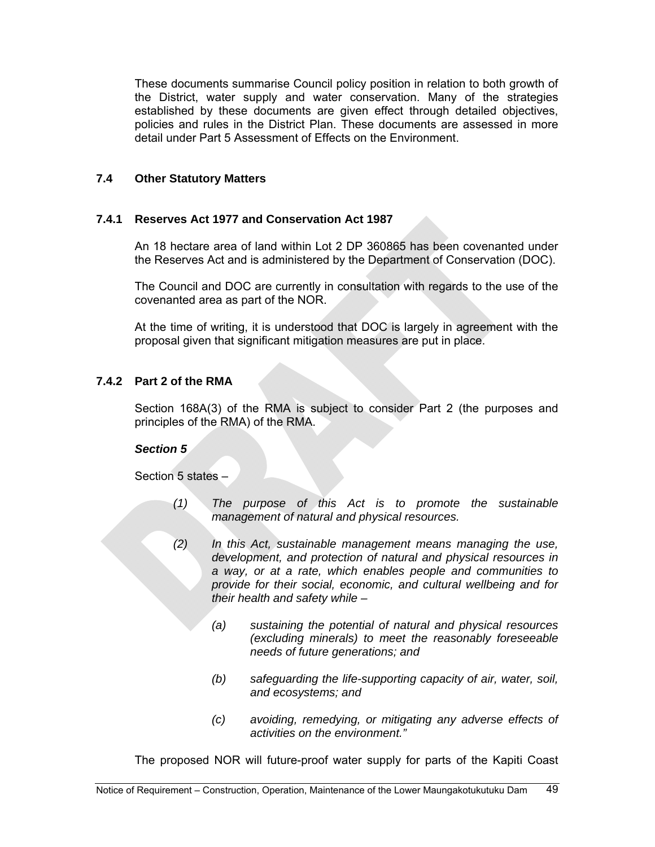These documents summarise Council policy position in relation to both growth of the District, water supply and water conservation. Many of the strategies established by these documents are given effect through detailed objectives, policies and rules in the District Plan. These documents are assessed in more detail under Part 5 Assessment of Effects on the Environment.

# **7.4 Other Statutory Matters**

# **7.4.1 Reserves Act 1977 and Conservation Act 1987**

An 18 hectare area of land within Lot 2 DP 360865 has been covenanted under the Reserves Act and is administered by the Department of Conservation (DOC).

The Council and DOC are currently in consultation with regards to the use of the covenanted area as part of the NOR.

At the time of writing, it is understood that DOC is largely in agreement with the proposal given that significant mitigation measures are put in place.

# **7.4.2 Part 2 of the RMA**

Section 168A(3) of the RMA is subject to consider Part 2 (the purposes and principles of the RMA) of the RMA.

# *Section 5*

Section 5 states –

- *(1) The purpose of this Act is to promote the sustainable management of natural and physical resources.*
- *(2) In this Act, sustainable management means managing the use, development, and protection of natural and physical resources in a way, or at a rate, which enables people and communities to provide for their social, economic, and cultural wellbeing and for their health and safety while –* 
	- *(a) sustaining the potential of natural and physical resources (excluding minerals) to meet the reasonably foreseeable needs of future generations; and*
	- *(b) safeguarding the life-supporting capacity of air, water, soil, and ecosystems; and*
	- *(c) avoiding, remedying, or mitigating any adverse effects of activities on the environment."*

The proposed NOR will future-proof water supply for parts of the Kapiti Coast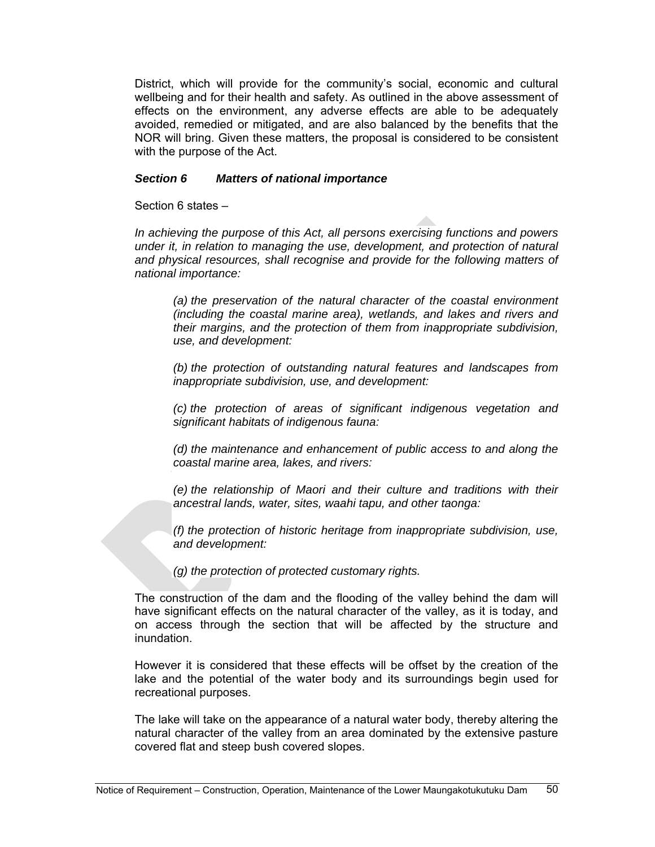District, which will provide for the community's social, economic and cultural wellbeing and for their health and safety. As outlined in the above assessment of effects on the environment, any adverse effects are able to be adequately avoided, remedied or mitigated, and are also balanced by the benefits that the NOR will bring. Given these matters, the proposal is considered to be consistent with the purpose of the Act.

#### *Section 6 Matters of national importance*

Section 6 states –

*In achieving the purpose of this Act, all persons exercising functions and powers under it, in relation to managing the use, development, and protection of natural and physical resources, shall recognise and provide for the following matters of national importance:* 

*(a) the preservation of the natural character of the coastal environment (including the coastal marine area), wetlands, and lakes and rivers and their margins, and the protection of them from inappropriate subdivision, use, and development:* 

*(b) the protection of outstanding natural features and landscapes from inappropriate subdivision, use, and development:* 

*(c) the protection of areas of significant indigenous vegetation and significant habitats of indigenous fauna:* 

*(d) the maintenance and enhancement of public access to and along the coastal marine area, lakes, and rivers:* 

*(e) the relationship of Maori and their culture and traditions with their ancestral lands, water, sites, waahi tapu, and other taonga:* 

*(f) the protection of historic heritage from inappropriate subdivision, use, and development:* 

*(g) the protection of protected customary rights.* 

The construction of the dam and the flooding of the valley behind the dam will have significant effects on the natural character of the valley, as it is today, and on access through the section that will be affected by the structure and inundation.

However it is considered that these effects will be offset by the creation of the lake and the potential of the water body and its surroundings begin used for recreational purposes.

The lake will take on the appearance of a natural water body, thereby altering the natural character of the valley from an area dominated by the extensive pasture covered flat and steep bush covered slopes.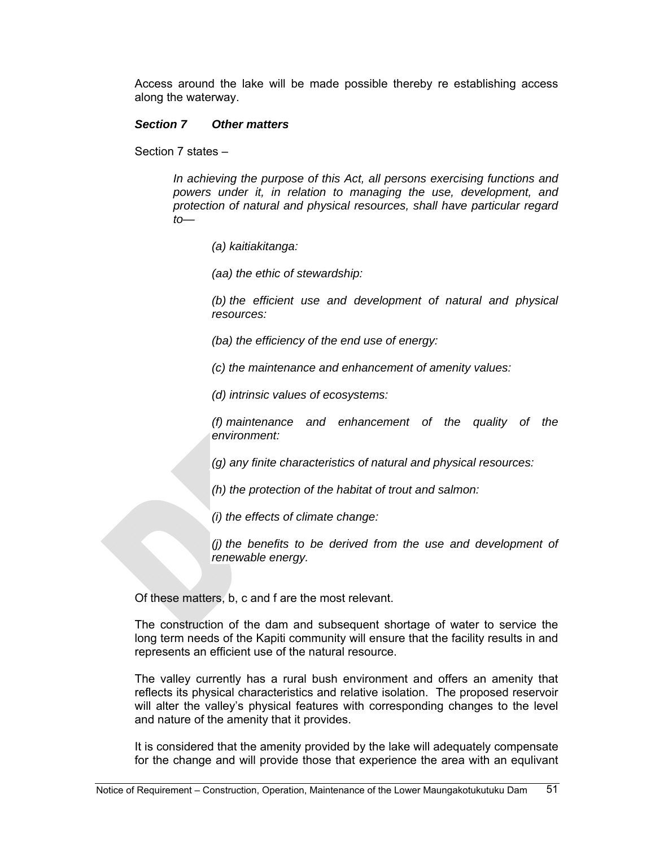Access around the lake will be made possible thereby re establishing access along the waterway.

#### *Section 7 Other matters*

Section 7 states –

*In achieving the purpose of this Act, all persons exercising functions and powers under it, in relation to managing the use, development, and protection of natural and physical resources, shall have particular regard to—* 

*(a) kaitiakitanga:* 

*(aa) the ethic of stewardship:* 

*(b) the efficient use and development of natural and physical resources:* 

*(ba) the efficiency of the end use of energy:* 

*(c) the maintenance and enhancement of amenity values:* 

*(d) intrinsic values of ecosystems:* 

*(f) maintenance and enhancement of the quality of the environment:* 

*(g) any finite characteristics of natural and physical resources:* 

*(h) the protection of the habitat of trout and salmon:* 

*(i) the effects of climate change:* 

*(j) the benefits to be derived from the use and development of renewable energy.* 

Of these matters, b, c and f are the most relevant.

The construction of the dam and subsequent shortage of water to service the long term needs of the Kapiti community will ensure that the facility results in and represents an efficient use of the natural resource.

The valley currently has a rural bush environment and offers an amenity that reflects its physical characteristics and relative isolation. The proposed reservoir will alter the valley's physical features with corresponding changes to the level and nature of the amenity that it provides.

It is considered that the amenity provided by the lake will adequately compensate for the change and will provide those that experience the area with an equlivant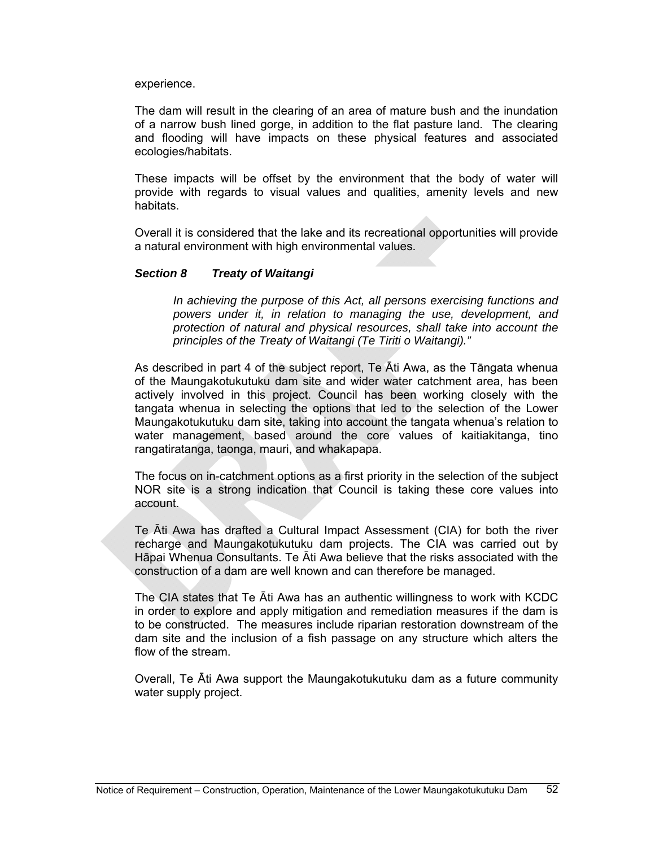experience.

The dam will result in the clearing of an area of mature bush and the inundation of a narrow bush lined gorge, in addition to the flat pasture land. The clearing and flooding will have impacts on these physical features and associated ecologies/habitats.

These impacts will be offset by the environment that the body of water will provide with regards to visual values and qualities, amenity levels and new habitats.

Overall it is considered that the lake and its recreational opportunities will provide a natural environment with high environmental values.

#### *Section 8 Treaty of Waitangi*

*In achieving the purpose of this Act, all persons exercising functions and powers under it, in relation to managing the use, development, and protection of natural and physical resources, shall take into account the principles of the Treaty of Waitangi (Te Tiriti o Waitangi)."* 

As described in part 4 of the subject report, Te Āti Awa, as the Tāngata whenua of the Maungakotukutuku dam site and wider water catchment area, has been actively involved in this project. Council has been working closely with the tangata whenua in selecting the options that led to the selection of the Lower Maungakotukutuku dam site, taking into account the tangata whenua's relation to water management, based around the core values of kaitiakitanga, tino rangatiratanga, taonga, mauri, and whakapapa.

The focus on in-catchment options as a first priority in the selection of the subject NOR site is a strong indication that Council is taking these core values into account.

Te Āti Awa has drafted a Cultural Impact Assessment (CIA) for both the river recharge and Maungakotukutuku dam projects. The CIA was carried out by Hāpai Whenua Consultants. Te Āti Awa believe that the risks associated with the construction of a dam are well known and can therefore be managed.

The CIA states that Te Āti Awa has an authentic willingness to work with KCDC in order to explore and apply mitigation and remediation measures if the dam is to be constructed. The measures include riparian restoration downstream of the dam site and the inclusion of a fish passage on any structure which alters the flow of the stream.

Overall, Te Āti Awa support the Maungakotukutuku dam as a future community water supply project.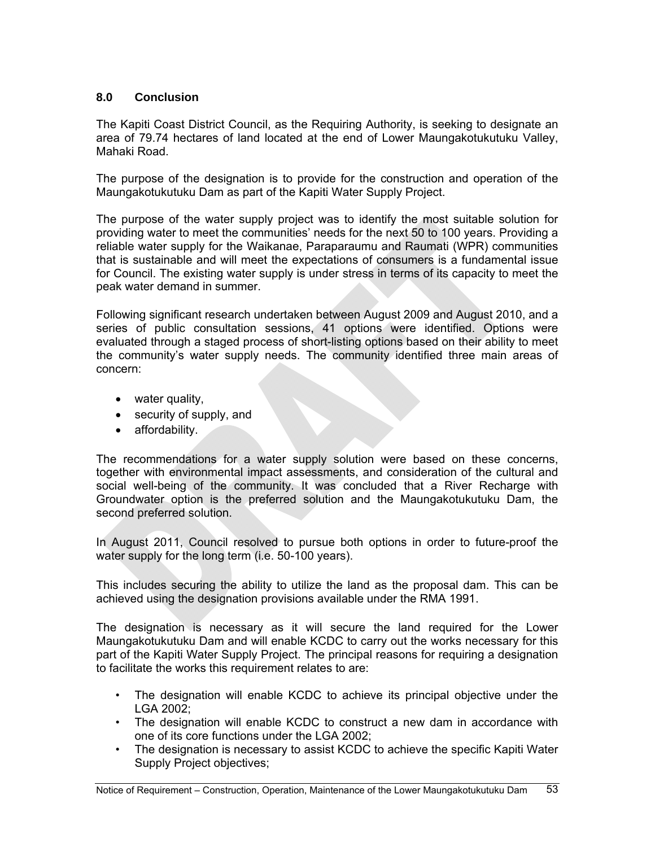# **8.0 Conclusion**

The Kapiti Coast District Council, as the Requiring Authority, is seeking to designate an area of 79.74 hectares of land located at the end of Lower Maungakotukutuku Valley, Mahaki Road.

The purpose of the designation is to provide for the construction and operation of the Maungakotukutuku Dam as part of the Kapiti Water Supply Project.

The purpose of the water supply project was to identify the most suitable solution for providing water to meet the communities' needs for the next 50 to 100 years. Providing a reliable water supply for the Waikanae, Paraparaumu and Raumati (WPR) communities that is sustainable and will meet the expectations of consumers is a fundamental issue for Council. The existing water supply is under stress in terms of its capacity to meet the peak water demand in summer.

Following significant research undertaken between August 2009 and August 2010, and a series of public consultation sessions, 41 options were identified. Options were evaluated through a staged process of short-listing options based on their ability to meet the community's water supply needs. The community identified three main areas of concern:

- water quality,
- security of supply, and
- affordability.

The recommendations for a water supply solution were based on these concerns, together with environmental impact assessments, and consideration of the cultural and social well-being of the community. It was concluded that a River Recharge with Groundwater option is the preferred solution and the Maungakotukutuku Dam, the second preferred solution.

In August 2011, Council resolved to pursue both options in order to future-proof the water supply for the long term (i.e. 50-100 years).

This includes securing the ability to utilize the land as the proposal dam. This can be achieved using the designation provisions available under the RMA 1991.

The designation is necessary as it will secure the land required for the Lower Maungakotukutuku Dam and will enable KCDC to carry out the works necessary for this part of the Kapiti Water Supply Project. The principal reasons for requiring a designation to facilitate the works this requirement relates to are:

- The designation will enable KCDC to achieve its principal objective under the LGA 2002;
- The designation will enable KCDC to construct a new dam in accordance with one of its core functions under the LGA 2002;
- The designation is necessary to assist KCDC to achieve the specific Kapiti Water Supply Project objectives;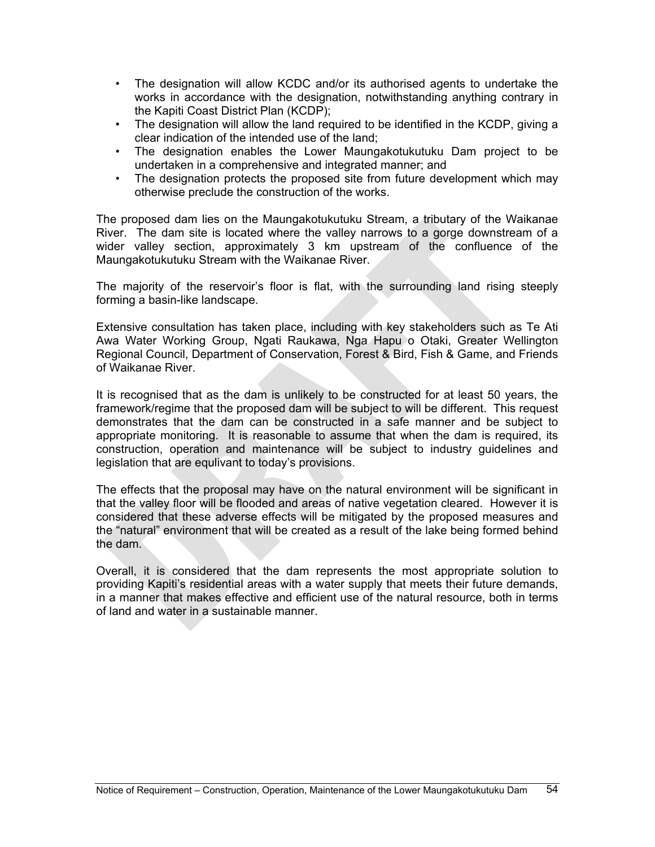- The designation will allow KCDC and/or its authorised agents to undertake the works in accordance with the designation, notwithstanding anything contrary in the Kapiti Coast District Plan (KCDP);
- The designation will allow the land required to be identified in the KCDP, giving a clear indication of the intended use of the land;
- The designation enables the Lower Maungakotukutuku Dam project to be undertaken in a comprehensive and integrated manner; and
- The designation protects the proposed site from future development which may otherwise preclude the construction of the works.

The proposed dam lies on the Maungakotukutuku Stream, a tributary of the Waikanae River. The dam site is located where the valley narrows to a gorge downstream of a wider valley section, approximately 3 km upstream of the confluence of the Maungakotukutuku Stream with the Waikanae River.

The majority of the reservoir's floor is flat, with the surrounding land rising steeply forming a basin-like landscape.

Extensive consultation has taken place, including with key stakeholders such as Te Ati Awa Water Working Group, Ngati Raukawa, Nga Hapu o Otaki, Greater Wellington Regional Council, Department of Conservation, Forest & Bird, Fish & Game, and Friends of Waikanae River.

It is recognised that as the dam is unlikely to be constructed for at least 50 years, the framework/regime that the proposed dam will be subject to will be different. This request demonstrates that the dam can be constructed in a safe manner and be subject to appropriate monitoring. It is reasonable to assume that when the dam is required, its construction, operation and maintenance will be subject to industry guidelines and legislation that are equlivant to today's provisions.

The effects that the proposal may have on the natural environment will be significant in that the valley floor will be flooded and areas of native vegetation cleared. However it is considered that these adverse effects will be mitigated by the proposed measures and the "natural" environment that will be created as a result of the lake being formed behind the dam.

Overall, it is considered that the dam represents the most appropriate solution to providing Kapiti's residential areas with a water supply that meets their future demands, in a manner that makes effective and efficient use of the natural resource, both in terms of land and water in a sustainable manner.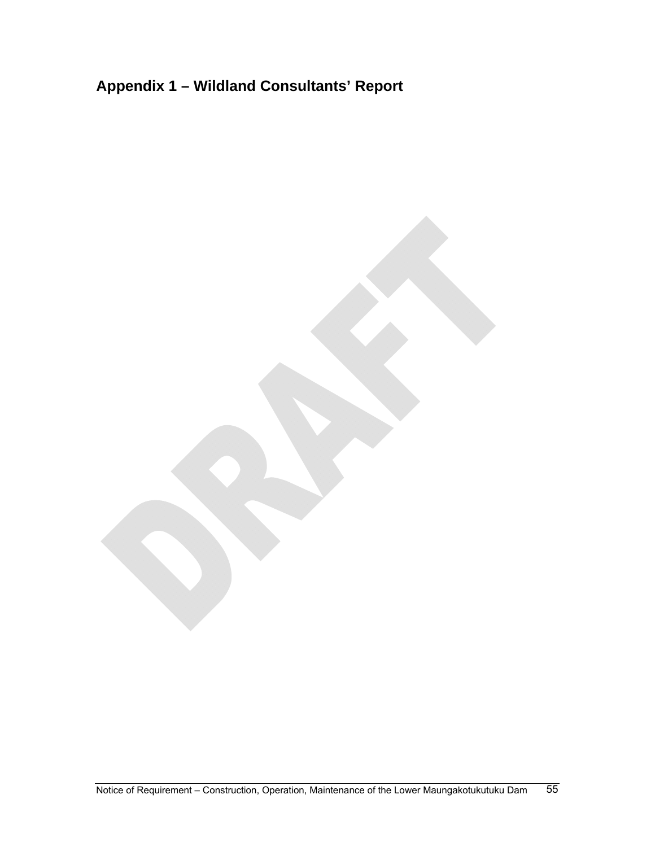# **Appendix 1 – Wildland Consultants' Report**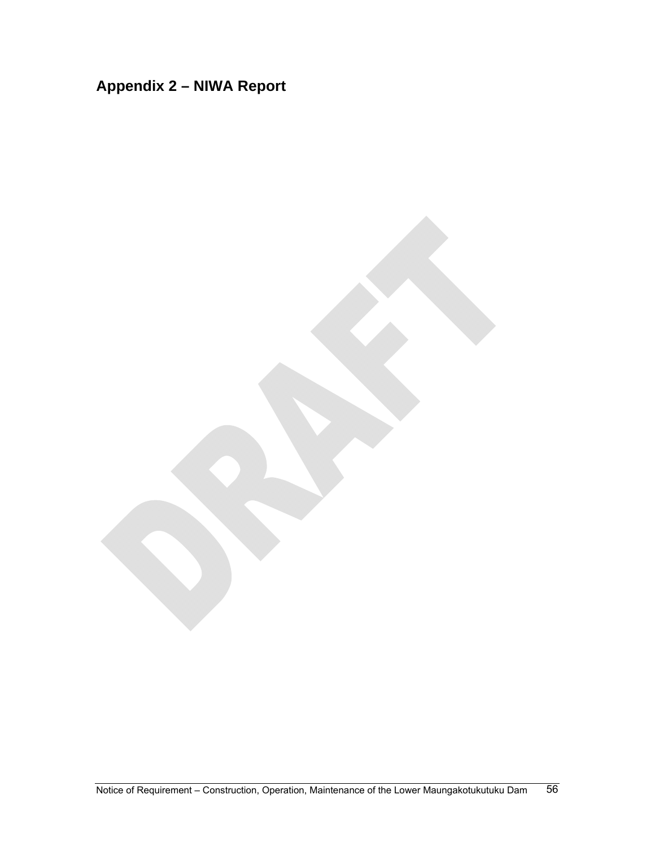# **Appendix 2 – NIWA Report**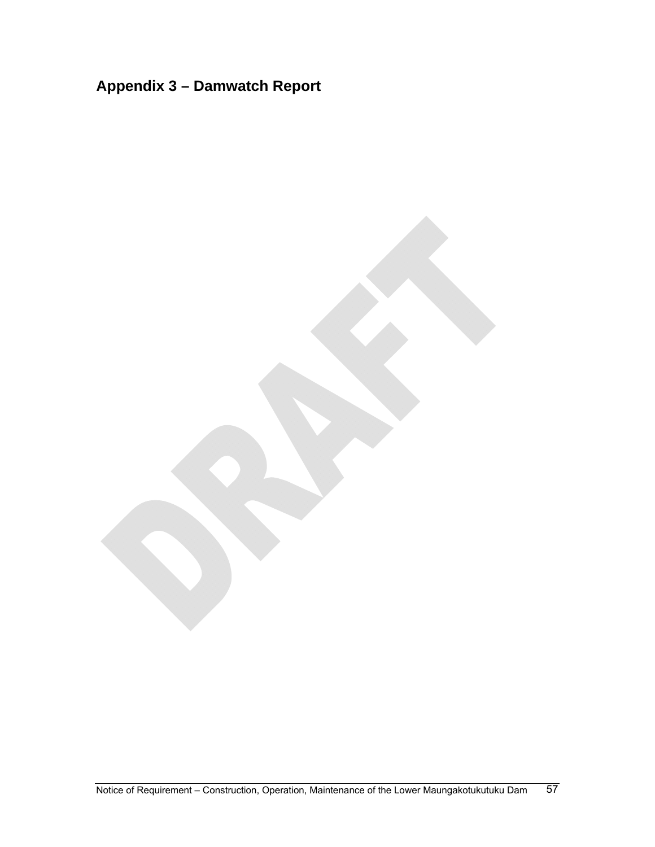# **Appendix 3 – Damwatch Report**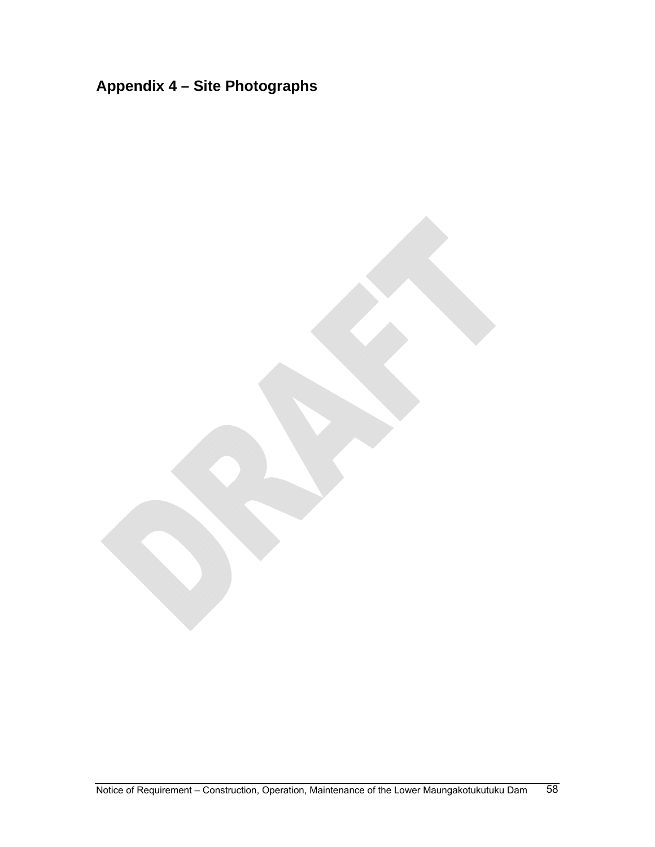# **Appendix 4 – Site Photographs**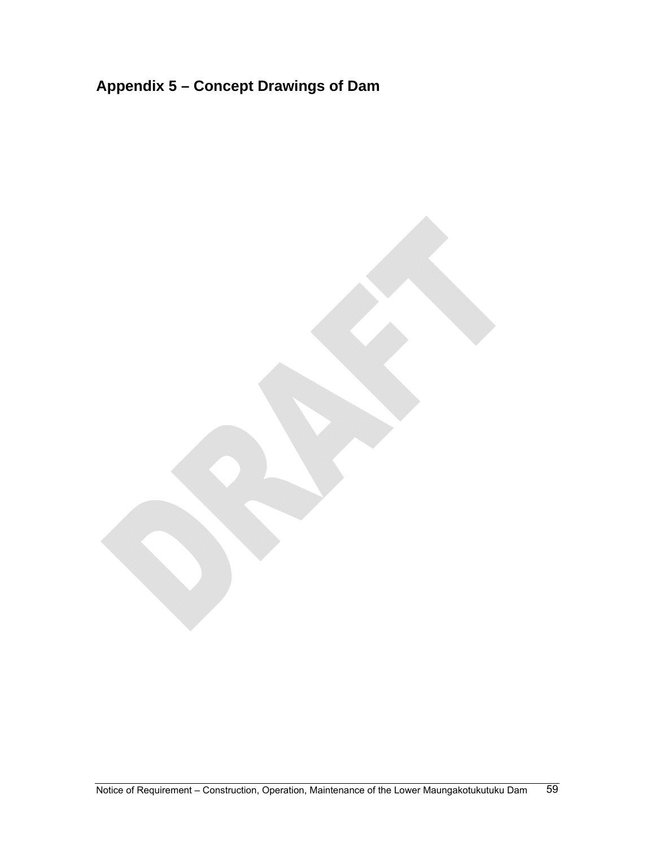# **Appendix 5 – Concept Drawings of Dam**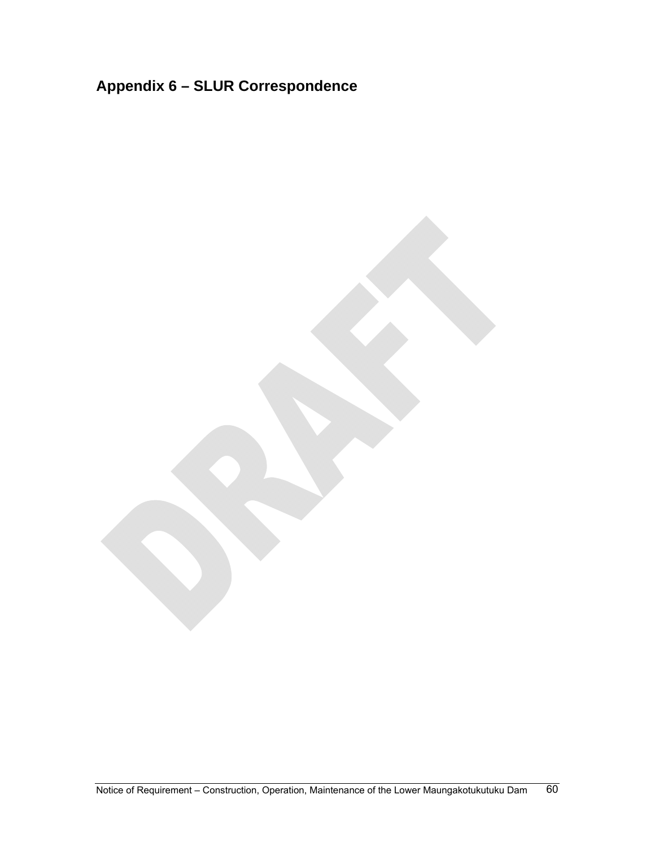# **Appendix 6 – SLUR Correspondence**